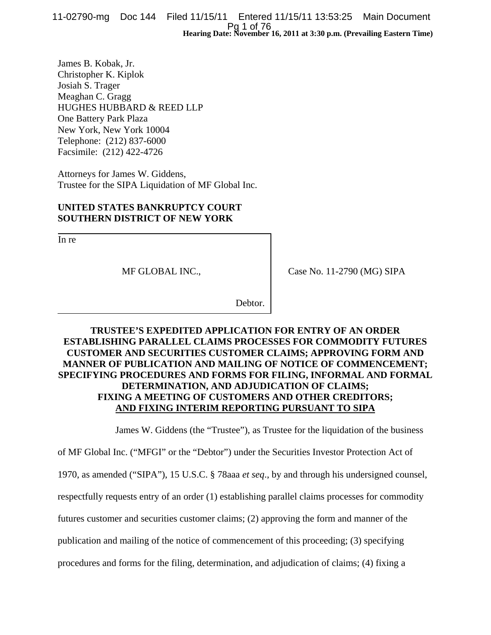Pg 1 of 76<br>Hearing Date: November 16, 2011 at 3:30 p.m. (Prevailing Eastern Time) 11-02790-mg Doc 144 Filed 11/15/11 Entered 11/15/11 13:53:25 Main Document

James B. Kobak, Jr. Christopher K. Kiplok Josiah S. Trager Meaghan C. Gragg HUGHES HUBBARD & REED LLP One Battery Park Plaza New York, New York 10004 Telephone: (212) 837-6000 Facsimile: (212) 422-4726

Attorneys for James W. Giddens, Trustee for the SIPA Liquidation of MF Global Inc.

#### **UNITED STATES BANKRUPTCY COURT SOUTHERN DISTRICT OF NEW YORK**

In re

MF GLOBAL INC.,

Case No. 11-2790 (MG) SIPA

Debtor.

#### **TRUSTEE'S EXPEDITED APPLICATION FOR ENTRY OF AN ORDER ESTABLISHING PARALLEL CLAIMS PROCESSES FOR COMMODITY FUTURES CUSTOMER AND SECURITIES CUSTOMER CLAIMS; APPROVING FORM AND MANNER OF PUBLICATION AND MAILING OF NOTICE OF COMMENCEMENT; SPECIFYING PROCEDURES AND FORMS FOR FILING, INFORMAL AND FORMAL DETERMINATION, AND ADJUDICATION OF CLAIMS; FIXING A MEETING OF CUSTOMERS AND OTHER CREDITORS; AND FIXING INTERIM REPORTING PURSUANT TO SIPA**

James W. Giddens (the "Trustee"), as Trustee for the liquidation of the business

of MF Global Inc. ("MFGI" or the "Debtor") under the Securities Investor Protection Act of

1970, as amended ("SIPA"), 15 U.S.C. § 78aaa *et seq*., by and through his undersigned counsel,

respectfully requests entry of an order (1) establishing parallel claims processes for commodity

futures customer and securities customer claims; (2) approving the form and manner of the

publication and mailing of the notice of commencement of this proceeding; (3) specifying

procedures and forms for the filing, determination, and adjudication of claims; (4) fixing a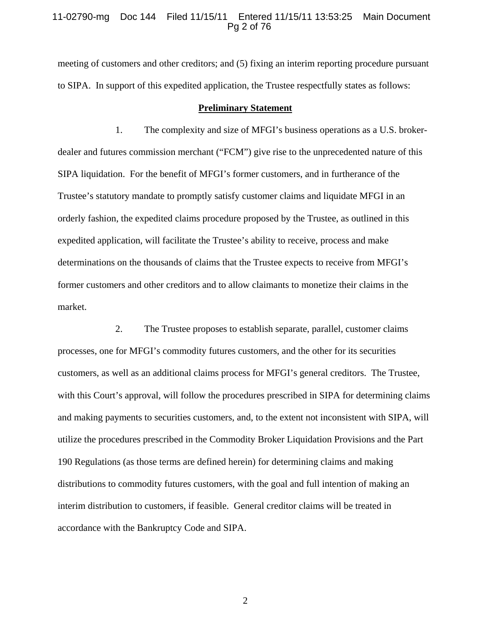#### 11-02790-mg Doc 144 Filed 11/15/11 Entered 11/15/11 13:53:25 Main Document Pg 2 of 76

meeting of customers and other creditors; and (5) fixing an interim reporting procedure pursuant to SIPA. In support of this expedited application, the Trustee respectfully states as follows:

#### **Preliminary Statement**

1. The complexity and size of MFGI's business operations as a U.S. brokerdealer and futures commission merchant ("FCM") give rise to the unprecedented nature of this SIPA liquidation. For the benefit of MFGI's former customers, and in furtherance of the Trustee's statutory mandate to promptly satisfy customer claims and liquidate MFGI in an orderly fashion, the expedited claims procedure proposed by the Trustee, as outlined in this expedited application, will facilitate the Trustee's ability to receive, process and make determinations on the thousands of claims that the Trustee expects to receive from MFGI's former customers and other creditors and to allow claimants to monetize their claims in the market.

2. The Trustee proposes to establish separate, parallel, customer claims processes, one for MFGI's commodity futures customers, and the other for its securities customers, as well as an additional claims process for MFGI's general creditors. The Trustee, with this Court's approval, will follow the procedures prescribed in SIPA for determining claims and making payments to securities customers, and, to the extent not inconsistent with SIPA, will utilize the procedures prescribed in the Commodity Broker Liquidation Provisions and the Part 190 Regulations (as those terms are defined herein) for determining claims and making distributions to commodity futures customers, with the goal and full intention of making an interim distribution to customers, if feasible. General creditor claims will be treated in accordance with the Bankruptcy Code and SIPA.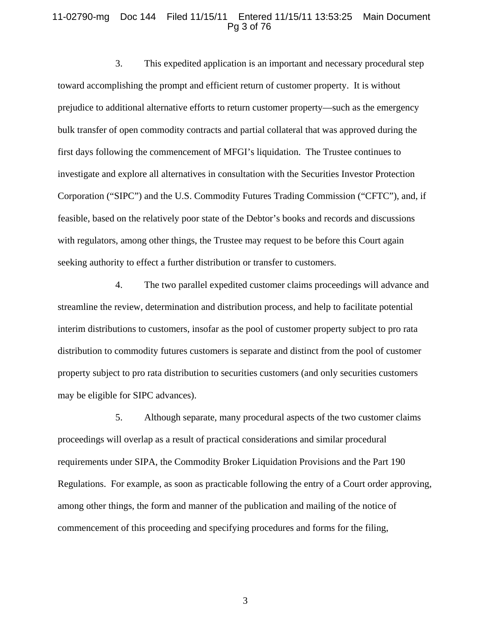#### 11-02790-mg Doc 144 Filed 11/15/11 Entered 11/15/11 13:53:25 Main Document Pg 3 of 76

3. This expedited application is an important and necessary procedural step toward accomplishing the prompt and efficient return of customer property. It is without prejudice to additional alternative efforts to return customer property—such as the emergency bulk transfer of open commodity contracts and partial collateral that was approved during the first days following the commencement of MFGI's liquidation. The Trustee continues to investigate and explore all alternatives in consultation with the Securities Investor Protection Corporation ("SIPC") and the U.S. Commodity Futures Trading Commission ("CFTC"), and, if feasible, based on the relatively poor state of the Debtor's books and records and discussions with regulators, among other things, the Trustee may request to be before this Court again seeking authority to effect a further distribution or transfer to customers.

4. The two parallel expedited customer claims proceedings will advance and streamline the review, determination and distribution process, and help to facilitate potential interim distributions to customers, insofar as the pool of customer property subject to pro rata distribution to commodity futures customers is separate and distinct from the pool of customer property subject to pro rata distribution to securities customers (and only securities customers may be eligible for SIPC advances).

5. Although separate, many procedural aspects of the two customer claims proceedings will overlap as a result of practical considerations and similar procedural requirements under SIPA, the Commodity Broker Liquidation Provisions and the Part 190 Regulations. For example, as soon as practicable following the entry of a Court order approving, among other things, the form and manner of the publication and mailing of the notice of commencement of this proceeding and specifying procedures and forms for the filing,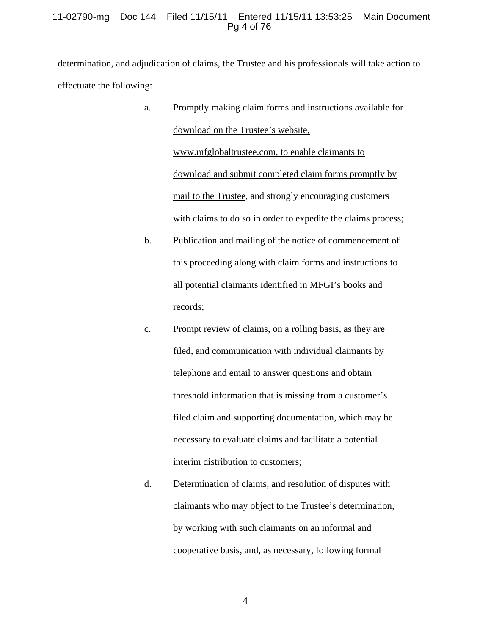#### 11-02790-mg Doc 144 Filed 11/15/11 Entered 11/15/11 13:53:25 Main Document Pg 4 of 76

determination, and adjudication of claims, the Trustee and his professionals will take action to effectuate the following:

- a. Promptly making claim forms and instructions available for download on the Trustee's website, www.mfglobaltrustee.com, to enable claimants to download and submit completed claim forms promptly by mail to the Trustee, and strongly encouraging customers with claims to do so in order to expedite the claims process;
- b. Publication and mailing of the notice of commencement of this proceeding along with claim forms and instructions to all potential claimants identified in MFGI's books and records;
- c. Prompt review of claims, on a rolling basis, as they are filed, and communication with individual claimants by telephone and email to answer questions and obtain threshold information that is missing from a customer's filed claim and supporting documentation, which may be necessary to evaluate claims and facilitate a potential interim distribution to customers;
- d. Determination of claims, and resolution of disputes with claimants who may object to the Trustee's determination, by working with such claimants on an informal and cooperative basis, and, as necessary, following formal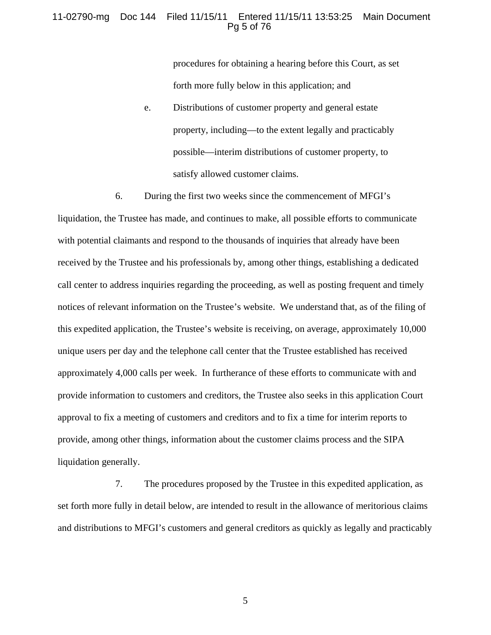#### 11-02790-mg Doc 144 Filed 11/15/11 Entered 11/15/11 13:53:25 Main Document Pg 5 of 76

procedures for obtaining a hearing before this Court, as set forth more fully below in this application; and

e. Distributions of customer property and general estate property, including—to the extent legally and practicably possible—interim distributions of customer property, to satisfy allowed customer claims.

6. During the first two weeks since the commencement of MFGI's liquidation, the Trustee has made, and continues to make, all possible efforts to communicate with potential claimants and respond to the thousands of inquiries that already have been received by the Trustee and his professionals by, among other things, establishing a dedicated call center to address inquiries regarding the proceeding, as well as posting frequent and timely notices of relevant information on the Trustee's website. We understand that, as of the filing of this expedited application, the Trustee's website is receiving, on average, approximately 10,000 unique users per day and the telephone call center that the Trustee established has received approximately 4,000 calls per week. In furtherance of these efforts to communicate with and provide information to customers and creditors, the Trustee also seeks in this application Court approval to fix a meeting of customers and creditors and to fix a time for interim reports to provide, among other things, information about the customer claims process and the SIPA liquidation generally.

7. The procedures proposed by the Trustee in this expedited application, as set forth more fully in detail below, are intended to result in the allowance of meritorious claims and distributions to MFGI's customers and general creditors as quickly as legally and practicably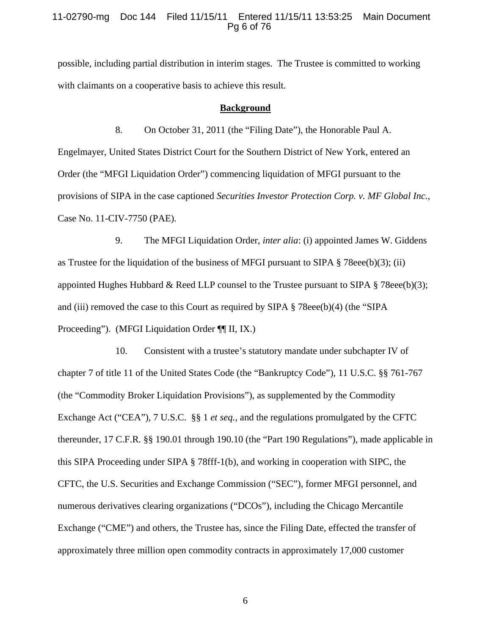#### 11-02790-mg Doc 144 Filed 11/15/11 Entered 11/15/11 13:53:25 Main Document Pg 6 of 76

possible, including partial distribution in interim stages. The Trustee is committed to working with claimants on a cooperative basis to achieve this result.

#### **Background**

8. On October 31, 2011 (the "Filing Date"), the Honorable Paul A. Engelmayer, United States District Court for the Southern District of New York, entered an Order (the "MFGI Liquidation Order") commencing liquidation of MFGI pursuant to the provisions of SIPA in the case captioned *Securities Investor Protection Corp. v. MF Global Inc.*, Case No. 11-CIV-7750 (PAE).

9. The MFGI Liquidation Order, *inter alia*: (i) appointed James W. Giddens as Trustee for the liquidation of the business of MFGI pursuant to SIPA  $\S$  78eee(b)(3); (ii) appointed Hughes Hubbard & Reed LLP counsel to the Trustee pursuant to SIPA  $\S$  78eee(b)(3); and (iii) removed the case to this Court as required by SIPA  $\S$  78eee(b)(4) (the "SIPA Proceeding"). (MFGI Liquidation Order ¶¶ II, IX.)

10. Consistent with a trustee's statutory mandate under subchapter IV of chapter 7 of title 11 of the United States Code (the "Bankruptcy Code"), 11 U.S.C. §§ 761-767 (the "Commodity Broker Liquidation Provisions"), as supplemented by the Commodity Exchange Act ("CEA"), 7 U.S.C. §§ 1 *et seq.*, and the regulations promulgated by the CFTC thereunder, 17 C.F.R. §§ 190.01 through 190.10 (the "Part 190 Regulations"), made applicable in this SIPA Proceeding under SIPA § 78fff-1(b), and working in cooperation with SIPC, the CFTC, the U.S. Securities and Exchange Commission ("SEC"), former MFGI personnel, and numerous derivatives clearing organizations ("DCOs"), including the Chicago Mercantile Exchange ("CME") and others, the Trustee has, since the Filing Date, effected the transfer of approximately three million open commodity contracts in approximately 17,000 customer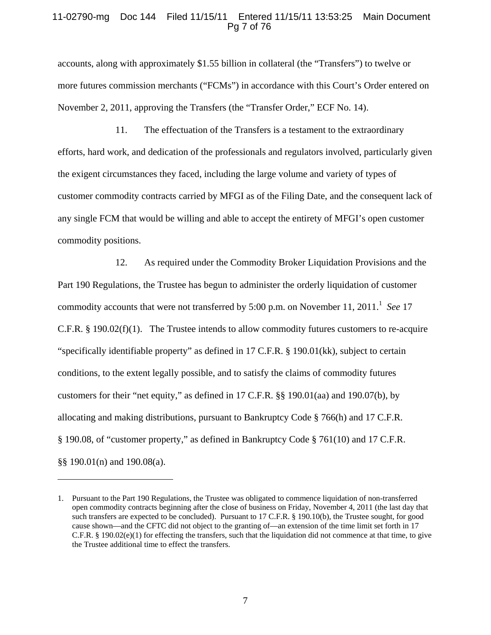#### 11-02790-mg Doc 144 Filed 11/15/11 Entered 11/15/11 13:53:25 Main Document Pg 7 of 76

accounts, along with approximately \$1.55 billion in collateral (the "Transfers") to twelve or more futures commission merchants ("FCMs") in accordance with this Court's Order entered on November 2, 2011, approving the Transfers (the "Transfer Order," ECF No. 14).

11. The effectuation of the Transfers is a testament to the extraordinary efforts, hard work, and dedication of the professionals and regulators involved, particularly given the exigent circumstances they faced, including the large volume and variety of types of customer commodity contracts carried by MFGI as of the Filing Date, and the consequent lack of any single FCM that would be willing and able to accept the entirety of MFGI's open customer commodity positions.

12. As required under the Commodity Broker Liquidation Provisions and the Part 190 Regulations, the Trustee has begun to administer the orderly liquidation of customer commodity accounts that were not transferred by 5:00 p.m. on November 11, 2011.<sup>1</sup> See 17 C.F.R. § 190.02(f)(1). The Trustee intends to allow commodity futures customers to re-acquire "specifically identifiable property" as defined in 17 C.F.R. § 190.01(kk), subject to certain conditions, to the extent legally possible, and to satisfy the claims of commodity futures customers for their "net equity," as defined in 17 C.F.R. §§ 190.01(aa) and 190.07(b), by allocating and making distributions, pursuant to Bankruptcy Code § 766(h) and 17 C.F.R. § 190.08, of "customer property," as defined in Bankruptcy Code § 761(10) and 17 C.F.R. §§ 190.01(n) and 190.08(a).

 $\overline{a}$ 

<sup>1.</sup> Pursuant to the Part 190 Regulations, the Trustee was obligated to commence liquidation of non-transferred open commodity contracts beginning after the close of business on Friday, November 4, 2011 (the last day that such transfers are expected to be concluded). Pursuant to 17 C.F.R. § 190.10(b), the Trustee sought, for good cause shown—and the CFTC did not object to the granting of—an extension of the time limit set forth in 17  $C.F.R. § 190.02(e)(1)$  for effecting the transfers, such that the liquidation did not commence at that time, to give the Trustee additional time to effect the transfers.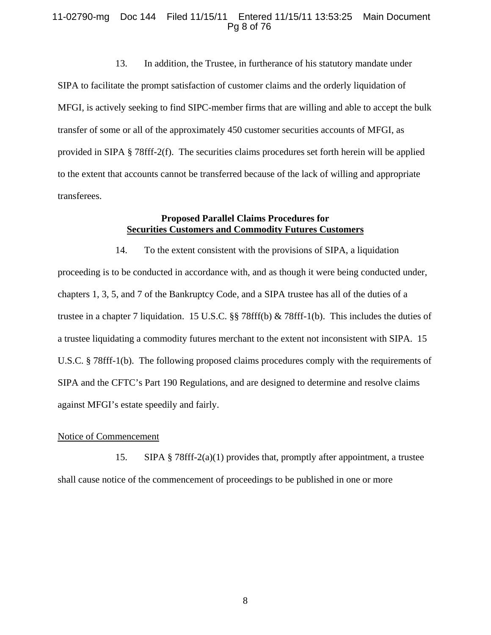#### 11-02790-mg Doc 144 Filed 11/15/11 Entered 11/15/11 13:53:25 Main Document Pg 8 of 76

13. In addition, the Trustee, in furtherance of his statutory mandate under SIPA to facilitate the prompt satisfaction of customer claims and the orderly liquidation of MFGI, is actively seeking to find SIPC-member firms that are willing and able to accept the bulk transfer of some or all of the approximately 450 customer securities accounts of MFGI, as provided in SIPA § 78fff-2(f). The securities claims procedures set forth herein will be applied to the extent that accounts cannot be transferred because of the lack of willing and appropriate transferees.

#### **Proposed Parallel Claims Procedures for Securities Customers and Commodity Futures Customers**

14. To the extent consistent with the provisions of SIPA, a liquidation proceeding is to be conducted in accordance with, and as though it were being conducted under, chapters 1, 3, 5, and 7 of the Bankruptcy Code, and a SIPA trustee has all of the duties of a trustee in a chapter 7 liquidation. 15 U.S.C. §§ 78fff(b) & 78fff-1(b). This includes the duties of a trustee liquidating a commodity futures merchant to the extent not inconsistent with SIPA. 15 U.S.C. § 78fff-1(b). The following proposed claims procedures comply with the requirements of SIPA and the CFTC's Part 190 Regulations, and are designed to determine and resolve claims against MFGI's estate speedily and fairly.

#### Notice of Commencement

15. SIPA § 78fff-2(a)(1) provides that, promptly after appointment, a trustee shall cause notice of the commencement of proceedings to be published in one or more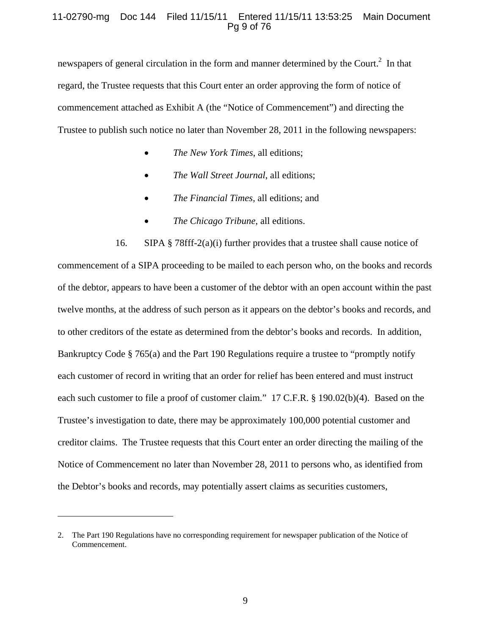#### 11-02790-mg Doc 144 Filed 11/15/11 Entered 11/15/11 13:53:25 Main Document Pg 9 of 76

newspapers of general circulation in the form and manner determined by the Court.<sup>2</sup> In that regard, the Trustee requests that this Court enter an order approving the form of notice of commencement attached as Exhibit A (the "Notice of Commencement") and directing the Trustee to publish such notice no later than November 28, 2011 in the following newspapers:

- *The New York Times*, all editions;
- *The Wall Street Journal*, all editions;
- *The Financial Times*, all editions; and
- *The Chicago Tribune*, all editions.

16. SIPA § 78fff-2(a)(i) further provides that a trustee shall cause notice of commencement of a SIPA proceeding to be mailed to each person who, on the books and records of the debtor, appears to have been a customer of the debtor with an open account within the past twelve months, at the address of such person as it appears on the debtor's books and records, and to other creditors of the estate as determined from the debtor's books and records. In addition, Bankruptcy Code § 765(a) and the Part 190 Regulations require a trustee to "promptly notify each customer of record in writing that an order for relief has been entered and must instruct each such customer to file a proof of customer claim." 17 C.F.R. § 190.02(b)(4). Based on the Trustee's investigation to date, there may be approximately 100,000 potential customer and creditor claims. The Trustee requests that this Court enter an order directing the mailing of the Notice of Commencement no later than November 28, 2011 to persons who, as identified from the Debtor's books and records, may potentially assert claims as securities customers,

 $\overline{a}$ 

<sup>2.</sup> The Part 190 Regulations have no corresponding requirement for newspaper publication of the Notice of Commencement.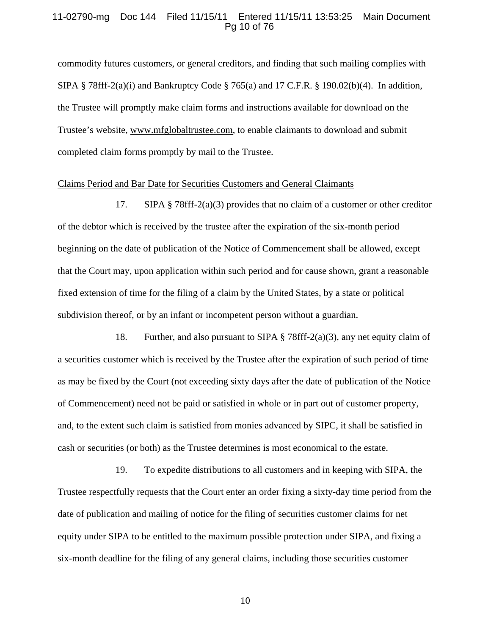#### 11-02790-mg Doc 144 Filed 11/15/11 Entered 11/15/11 13:53:25 Main Document Pg 10 of 76

commodity futures customers, or general creditors, and finding that such mailing complies with SIPA § 78fff-2(a)(i) and Bankruptcy Code § 765(a) and 17 C.F.R. § 190.02(b)(4). In addition, the Trustee will promptly make claim forms and instructions available for download on the Trustee's website, www.mfglobaltrustee.com, to enable claimants to download and submit completed claim forms promptly by mail to the Trustee.

#### Claims Period and Bar Date for Securities Customers and General Claimants

17. SIPA § 78fff-2(a)(3) provides that no claim of a customer or other creditor of the debtor which is received by the trustee after the expiration of the six-month period beginning on the date of publication of the Notice of Commencement shall be allowed, except that the Court may, upon application within such period and for cause shown, grant a reasonable fixed extension of time for the filing of a claim by the United States, by a state or political subdivision thereof, or by an infant or incompetent person without a guardian.

18. Further, and also pursuant to SIPA  $\S$  78fff-2(a)(3), any net equity claim of a securities customer which is received by the Trustee after the expiration of such period of time as may be fixed by the Court (not exceeding sixty days after the date of publication of the Notice of Commencement) need not be paid or satisfied in whole or in part out of customer property, and, to the extent such claim is satisfied from monies advanced by SIPC, it shall be satisfied in cash or securities (or both) as the Trustee determines is most economical to the estate.

19. To expedite distributions to all customers and in keeping with SIPA, the Trustee respectfully requests that the Court enter an order fixing a sixty-day time period from the date of publication and mailing of notice for the filing of securities customer claims for net equity under SIPA to be entitled to the maximum possible protection under SIPA, and fixing a six-month deadline for the filing of any general claims, including those securities customer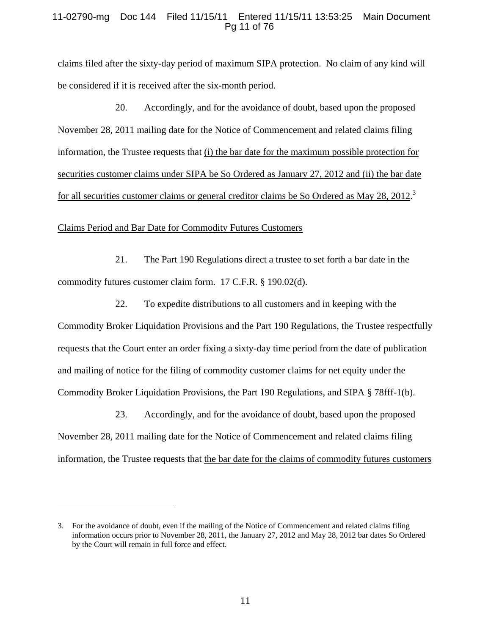#### 11-02790-mg Doc 144 Filed 11/15/11 Entered 11/15/11 13:53:25 Main Document Pg 11 of 76

claims filed after the sixty-day period of maximum SIPA protection. No claim of any kind will be considered if it is received after the six-month period.

20. Accordingly, and for the avoidance of doubt, based upon the proposed November 28, 2011 mailing date for the Notice of Commencement and related claims filing information, the Trustee requests that (i) the bar date for the maximum possible protection for securities customer claims under SIPA be So Ordered as January 27, 2012 and (ii) the bar date for all securities customer claims or general creditor claims be So Ordered as May 28, 2012.<sup>3</sup>

#### Claims Period and Bar Date for Commodity Futures Customers

 $\overline{a}$ 

21. The Part 190 Regulations direct a trustee to set forth a bar date in the commodity futures customer claim form. 17 C.F.R. § 190.02(d).

22. To expedite distributions to all customers and in keeping with the Commodity Broker Liquidation Provisions and the Part 190 Regulations, the Trustee respectfully requests that the Court enter an order fixing a sixty-day time period from the date of publication and mailing of notice for the filing of commodity customer claims for net equity under the Commodity Broker Liquidation Provisions, the Part 190 Regulations, and SIPA § 78fff-1(b).

23. Accordingly, and for the avoidance of doubt, based upon the proposed November 28, 2011 mailing date for the Notice of Commencement and related claims filing information, the Trustee requests that the bar date for the claims of commodity futures customers

<sup>3.</sup> For the avoidance of doubt, even if the mailing of the Notice of Commencement and related claims filing information occurs prior to November 28, 2011, the January 27, 2012 and May 28, 2012 bar dates So Ordered by the Court will remain in full force and effect.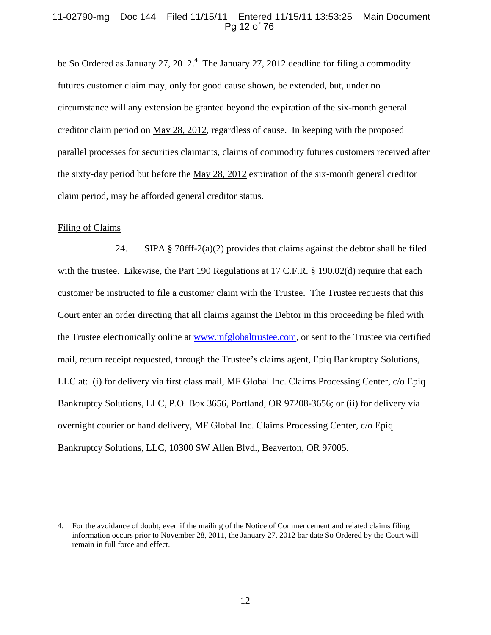#### 11-02790-mg Doc 144 Filed 11/15/11 Entered 11/15/11 13:53:25 Main Document Pg 12 of 76

be So Ordered as January 27, 2012.<sup>4</sup> The January 27, 2012 deadline for filing a commodity futures customer claim may, only for good cause shown, be extended, but, under no circumstance will any extension be granted beyond the expiration of the six-month general creditor claim period on May 28, 2012, regardless of cause. In keeping with the proposed parallel processes for securities claimants, claims of commodity futures customers received after the sixty-day period but before the May 28, 2012 expiration of the six-month general creditor claim period, may be afforded general creditor status.

#### Filing of Claims

 $\overline{a}$ 

24. SIPA § 78fff-2(a)(2) provides that claims against the debtor shall be filed with the trustee. Likewise, the Part 190 Regulations at 17 C.F.R. § 190.02(d) require that each customer be instructed to file a customer claim with the Trustee. The Trustee requests that this Court enter an order directing that all claims against the Debtor in this proceeding be filed with the Trustee electronically online at www.mfglobaltrustee.com, or sent to the Trustee via certified mail, return receipt requested, through the Trustee's claims agent, Epiq Bankruptcy Solutions, LLC at: (i) for delivery via first class mail, MF Global Inc. Claims Processing Center, c/o Epiq Bankruptcy Solutions, LLC, P.O. Box 3656, Portland, OR 97208-3656; or (ii) for delivery via overnight courier or hand delivery, MF Global Inc. Claims Processing Center, c/o Epiq Bankruptcy Solutions, LLC, 10300 SW Allen Blvd., Beaverton, OR 97005.

<sup>4.</sup> For the avoidance of doubt, even if the mailing of the Notice of Commencement and related claims filing information occurs prior to November 28, 2011, the January 27, 2012 bar date So Ordered by the Court will remain in full force and effect.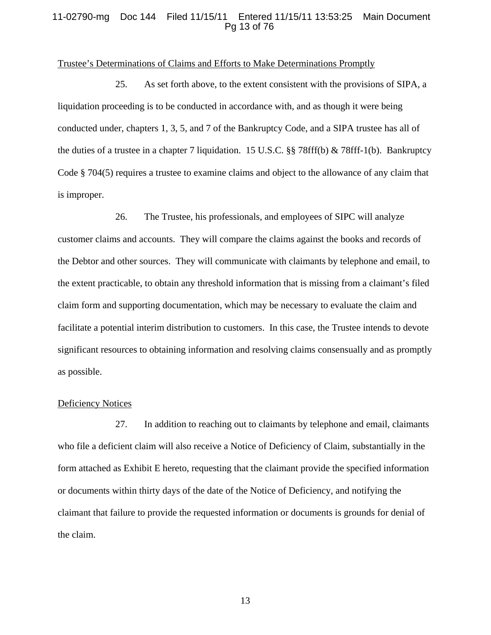#### 11-02790-mg Doc 144 Filed 11/15/11 Entered 11/15/11 13:53:25 Main Document Pg 13 of 76

#### Trustee's Determinations of Claims and Efforts to Make Determinations Promptly

25. As set forth above, to the extent consistent with the provisions of SIPA, a liquidation proceeding is to be conducted in accordance with, and as though it were being conducted under, chapters 1, 3, 5, and 7 of the Bankruptcy Code, and a SIPA trustee has all of the duties of a trustee in a chapter 7 liquidation. 15 U.S.C. §§ 78fff(b) & 78fff-1(b). Bankruptcy Code § 704(5) requires a trustee to examine claims and object to the allowance of any claim that is improper.

26. The Trustee, his professionals, and employees of SIPC will analyze customer claims and accounts. They will compare the claims against the books and records of the Debtor and other sources. They will communicate with claimants by telephone and email, to the extent practicable, to obtain any threshold information that is missing from a claimant's filed claim form and supporting documentation, which may be necessary to evaluate the claim and facilitate a potential interim distribution to customers. In this case, the Trustee intends to devote significant resources to obtaining information and resolving claims consensually and as promptly as possible.

#### Deficiency Notices

27. In addition to reaching out to claimants by telephone and email, claimants who file a deficient claim will also receive a Notice of Deficiency of Claim, substantially in the form attached as Exhibit E hereto, requesting that the claimant provide the specified information or documents within thirty days of the date of the Notice of Deficiency, and notifying the claimant that failure to provide the requested information or documents is grounds for denial of the claim.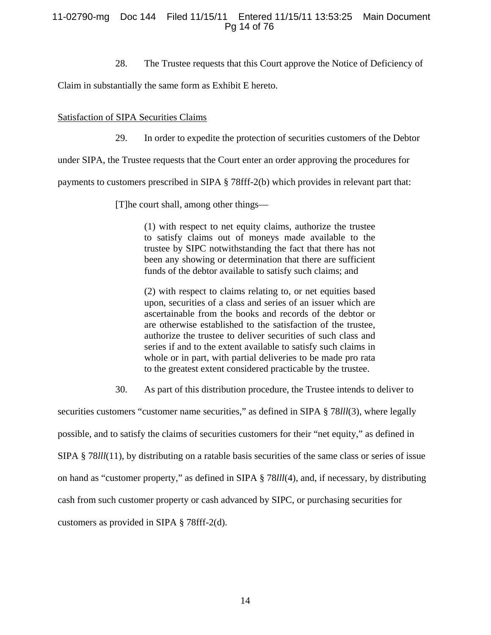#### 11-02790-mg Doc 144 Filed 11/15/11 Entered 11/15/11 13:53:25 Main Document Pg 14 of 76

28. The Trustee requests that this Court approve the Notice of Deficiency of

Claim in substantially the same form as Exhibit E hereto.

#### Satisfaction of SIPA Securities Claims

29. In order to expedite the protection of securities customers of the Debtor

under SIPA, the Trustee requests that the Court enter an order approving the procedures for

payments to customers prescribed in SIPA § 78fff-2(b) which provides in relevant part that:

[T]he court shall, among other things—

(1) with respect to net equity claims, authorize the trustee to satisfy claims out of moneys made available to the trustee by SIPC notwithstanding the fact that there has not been any showing or determination that there are sufficient funds of the debtor available to satisfy such claims; and

(2) with respect to claims relating to, or net equities based upon, securities of a class and series of an issuer which are ascertainable from the books and records of the debtor or are otherwise established to the satisfaction of the trustee, authorize the trustee to deliver securities of such class and series if and to the extent available to satisfy such claims in whole or in part, with partial deliveries to be made pro rata to the greatest extent considered practicable by the trustee.

30. As part of this distribution procedure, the Trustee intends to deliver to

securities customers "customer name securities," as defined in SIPA § 78*lll*(3), where legally possible, and to satisfy the claims of securities customers for their "net equity," as defined in SIPA § 78*lll*(11), by distributing on a ratable basis securities of the same class or series of issue on hand as "customer property," as defined in SIPA § 78*lll*(4), and, if necessary, by distributing cash from such customer property or cash advanced by SIPC, or purchasing securities for customers as provided in SIPA § 78fff-2(d).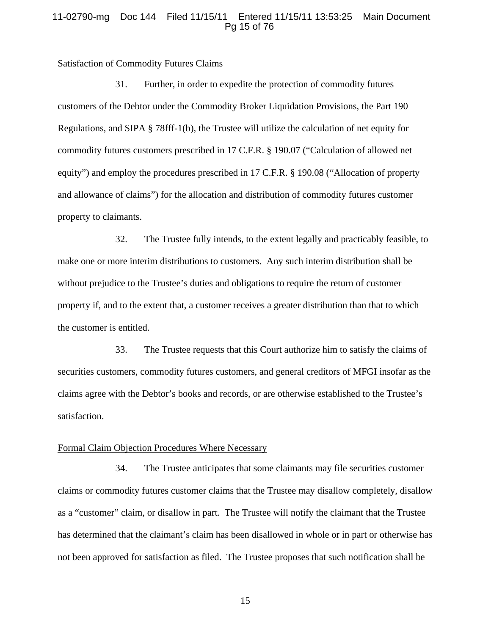#### 11-02790-mg Doc 144 Filed 11/15/11 Entered 11/15/11 13:53:25 Main Document Pg 15 of 76

#### Satisfaction of Commodity Futures Claims

31. Further, in order to expedite the protection of commodity futures customers of the Debtor under the Commodity Broker Liquidation Provisions, the Part 190 Regulations, and SIPA § 78fff-1(b), the Trustee will utilize the calculation of net equity for commodity futures customers prescribed in 17 C.F.R. § 190.07 ("Calculation of allowed net equity") and employ the procedures prescribed in 17 C.F.R. § 190.08 ("Allocation of property and allowance of claims") for the allocation and distribution of commodity futures customer property to claimants.

32. The Trustee fully intends, to the extent legally and practicably feasible, to make one or more interim distributions to customers. Any such interim distribution shall be without prejudice to the Trustee's duties and obligations to require the return of customer property if, and to the extent that, a customer receives a greater distribution than that to which the customer is entitled.

33. The Trustee requests that this Court authorize him to satisfy the claims of securities customers, commodity futures customers, and general creditors of MFGI insofar as the claims agree with the Debtor's books and records, or are otherwise established to the Trustee's satisfaction.

#### Formal Claim Objection Procedures Where Necessary

34. The Trustee anticipates that some claimants may file securities customer claims or commodity futures customer claims that the Trustee may disallow completely, disallow as a "customer" claim, or disallow in part. The Trustee will notify the claimant that the Trustee has determined that the claimant's claim has been disallowed in whole or in part or otherwise has not been approved for satisfaction as filed. The Trustee proposes that such notification shall be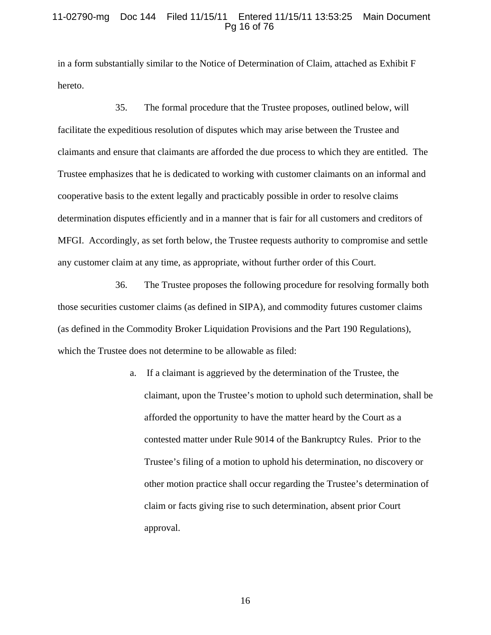#### 11-02790-mg Doc 144 Filed 11/15/11 Entered 11/15/11 13:53:25 Main Document Pg 16 of 76

in a form substantially similar to the Notice of Determination of Claim, attached as Exhibit F hereto.

35. The formal procedure that the Trustee proposes, outlined below, will facilitate the expeditious resolution of disputes which may arise between the Trustee and claimants and ensure that claimants are afforded the due process to which they are entitled. The Trustee emphasizes that he is dedicated to working with customer claimants on an informal and cooperative basis to the extent legally and practicably possible in order to resolve claims determination disputes efficiently and in a manner that is fair for all customers and creditors of MFGI. Accordingly, as set forth below, the Trustee requests authority to compromise and settle any customer claim at any time, as appropriate, without further order of this Court.

36. The Trustee proposes the following procedure for resolving formally both those securities customer claims (as defined in SIPA), and commodity futures customer claims (as defined in the Commodity Broker Liquidation Provisions and the Part 190 Regulations), which the Trustee does not determine to be allowable as filed:

> a. If a claimant is aggrieved by the determination of the Trustee, the claimant, upon the Trustee's motion to uphold such determination, shall be afforded the opportunity to have the matter heard by the Court as a contested matter under Rule 9014 of the Bankruptcy Rules. Prior to the Trustee's filing of a motion to uphold his determination, no discovery or other motion practice shall occur regarding the Trustee's determination of claim or facts giving rise to such determination, absent prior Court approval.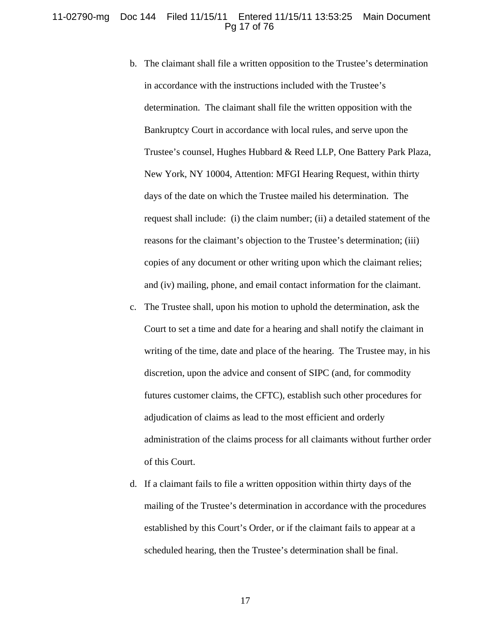#### 11-02790-mg Doc 144 Filed 11/15/11 Entered 11/15/11 13:53:25 Main Document Pg 17 of 76

- b. The claimant shall file a written opposition to the Trustee's determination in accordance with the instructions included with the Trustee's determination. The claimant shall file the written opposition with the Bankruptcy Court in accordance with local rules, and serve upon the Trustee's counsel, Hughes Hubbard & Reed LLP, One Battery Park Plaza, New York, NY 10004, Attention: MFGI Hearing Request, within thirty days of the date on which the Trustee mailed his determination. The request shall include: (i) the claim number; (ii) a detailed statement of the reasons for the claimant's objection to the Trustee's determination; (iii) copies of any document or other writing upon which the claimant relies; and (iv) mailing, phone, and email contact information for the claimant.
- c. The Trustee shall, upon his motion to uphold the determination, ask the Court to set a time and date for a hearing and shall notify the claimant in writing of the time, date and place of the hearing. The Trustee may, in his discretion, upon the advice and consent of SIPC (and, for commodity futures customer claims, the CFTC), establish such other procedures for adjudication of claims as lead to the most efficient and orderly administration of the claims process for all claimants without further order of this Court.
- d. If a claimant fails to file a written opposition within thirty days of the mailing of the Trustee's determination in accordance with the procedures established by this Court's Order, or if the claimant fails to appear at a scheduled hearing, then the Trustee's determination shall be final.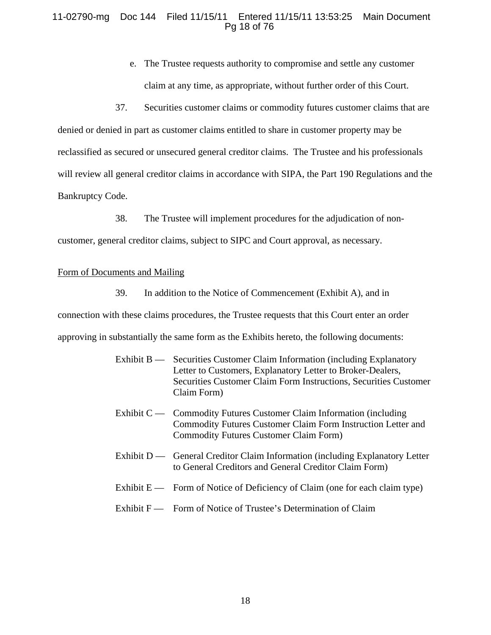#### 11-02790-mg Doc 144 Filed 11/15/11 Entered 11/15/11 13:53:25 Main Document Pg 18 of 76

- e. The Trustee requests authority to compromise and settle any customer claim at any time, as appropriate, without further order of this Court.
- 37. Securities customer claims or commodity futures customer claims that are

denied or denied in part as customer claims entitled to share in customer property may be reclassified as secured or unsecured general creditor claims. The Trustee and his professionals will review all general creditor claims in accordance with SIPA, the Part 190 Regulations and the Bankruptcy Code.

38. The Trustee will implement procedures for the adjudication of non-

customer, general creditor claims, subject to SIPC and Court approval, as necessary.

#### Form of Documents and Mailing

39. In addition to the Notice of Commencement (Exhibit A), and in connection with these claims procedures, the Trustee requests that this Court enter an order approving in substantially the same form as the Exhibits hereto, the following documents:

- Exhibit B Securities Customer Claim Information (including Explanatory Letter to Customers, Explanatory Letter to Broker-Dealers, Securities Customer Claim Form Instructions, Securities Customer Claim Form)
- Exhibit C Commodity Futures Customer Claim Information (including Commodity Futures Customer Claim Form Instruction Letter and Commodity Futures Customer Claim Form)
- Exhibit D General Creditor Claim Information (including Explanatory Letter to General Creditors and General Creditor Claim Form)
- Exhibit  $E$  Form of Notice of Deficiency of Claim (one for each claim type)
- Exhibit F Form of Notice of Trustee's Determination of Claim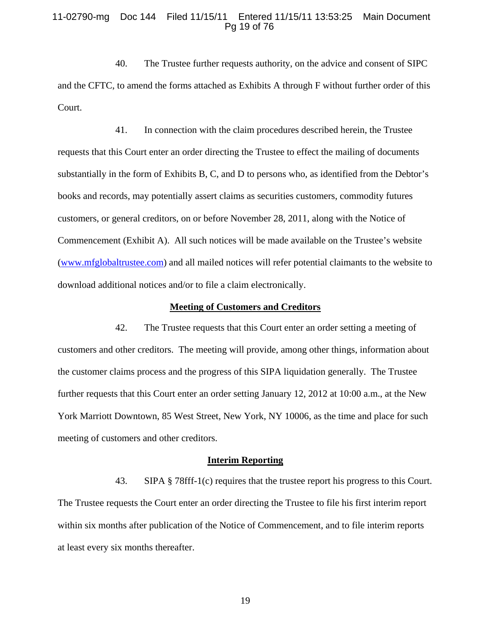#### 11-02790-mg Doc 144 Filed 11/15/11 Entered 11/15/11 13:53:25 Main Document Pg 19 of 76

40. The Trustee further requests authority, on the advice and consent of SIPC and the CFTC, to amend the forms attached as Exhibits A through F without further order of this Court.

41. In connection with the claim procedures described herein, the Trustee requests that this Court enter an order directing the Trustee to effect the mailing of documents substantially in the form of Exhibits B, C, and D to persons who, as identified from the Debtor's books and records, may potentially assert claims as securities customers, commodity futures customers, or general creditors, on or before November 28, 2011, along with the Notice of Commencement (Exhibit A). All such notices will be made available on the Trustee's website (www.mfglobaltrustee.com) and all mailed notices will refer potential claimants to the website to download additional notices and/or to file a claim electronically.

#### **Meeting of Customers and Creditors**

42. The Trustee requests that this Court enter an order setting a meeting of customers and other creditors. The meeting will provide, among other things, information about the customer claims process and the progress of this SIPA liquidation generally. The Trustee further requests that this Court enter an order setting January 12, 2012 at 10:00 a.m., at the New York Marriott Downtown, 85 West Street, New York, NY 10006, as the time and place for such meeting of customers and other creditors.

#### **Interim Reporting**

43. SIPA § 78fff-1(c) requires that the trustee report his progress to this Court. The Trustee requests the Court enter an order directing the Trustee to file his first interim report within six months after publication of the Notice of Commencement, and to file interim reports at least every six months thereafter.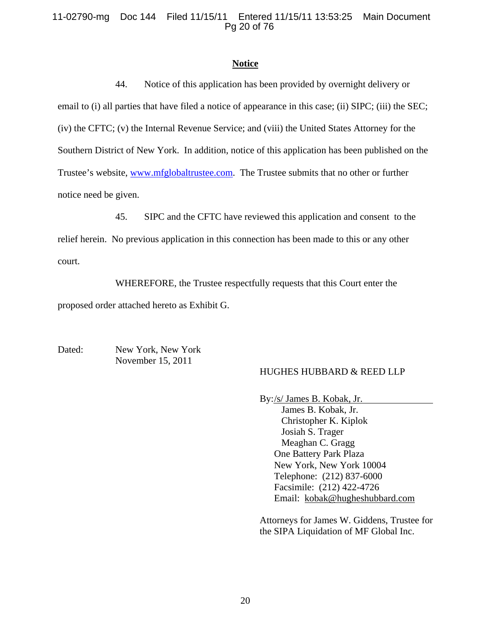#### 11-02790-mg Doc 144 Filed 11/15/11 Entered 11/15/11 13:53:25 Main Document Pg 20 of 76

#### **Notice**

44. Notice of this application has been provided by overnight delivery or email to (i) all parties that have filed a notice of appearance in this case; (ii) SIPC; (iii) the SEC; (iv) the CFTC; (v) the Internal Revenue Service; and (viii) the United States Attorney for the Southern District of New York. In addition, notice of this application has been published on the Trustee's website, www.mfglobaltrustee.com. The Trustee submits that no other or further notice need be given.

45. SIPC and the CFTC have reviewed this application and consent to the

relief herein. No previous application in this connection has been made to this or any other court.

WHEREFORE, the Trustee respectfully requests that this Court enter the

proposed order attached hereto as Exhibit G.

Dated: New York, New York November 15, 2011

#### HUGHES HUBBARD & REED LLP

By: /s/ James B. Kobak, Jr.

 James B. Kobak, Jr. Christopher K. Kiplok Josiah S. Trager Meaghan C. Gragg One Battery Park Plaza New York, New York 10004 Telephone: (212) 837-6000 Facsimile: (212) 422-4726 Email: kobak@hugheshubbard.com

Attorneys for James W. Giddens, Trustee for the SIPA Liquidation of MF Global Inc.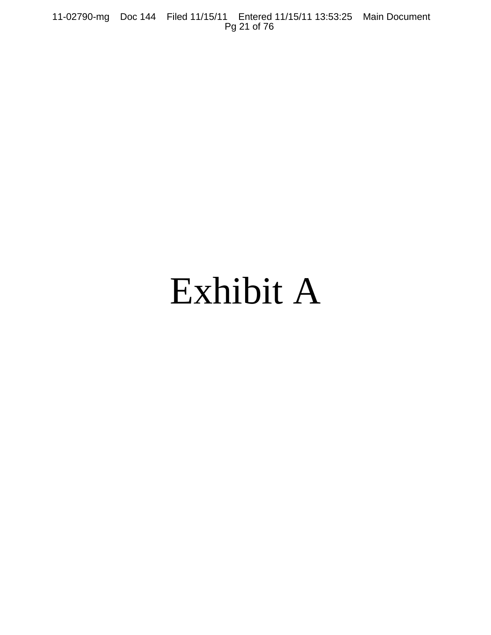11-02790-mg Doc 144 Filed 11/15/11 Entered 11/15/11 13:53:25 Main Document Pg 21 of 76

# Exhibit A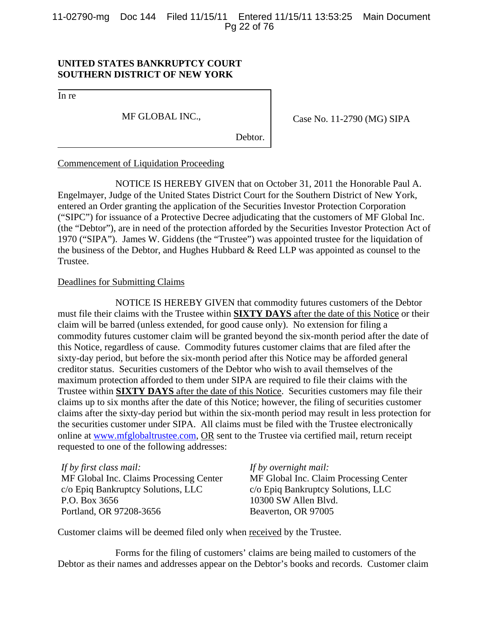11-02790-mg Doc 144 Filed 11/15/11 Entered 11/15/11 13:53:25 Main Document Pg 22 of 76

#### **UNITED STATES BANKRUPTCY COURT SOUTHERN DISTRICT OF NEW YORK**

In re

MF GLOBAL INC.,

Case No. 11-2790 (MG) SIPA

Debtor.

#### Commencement of Liquidation Proceeding

NOTICE IS HEREBY GIVEN that on October 31, 2011 the Honorable Paul A. Engelmayer, Judge of the United States District Court for the Southern District of New York, entered an Order granting the application of the Securities Investor Protection Corporation ("SIPC") for issuance of a Protective Decree adjudicating that the customers of MF Global Inc. (the "Debtor"), are in need of the protection afforded by the Securities Investor Protection Act of 1970 ("SIPA"). James W. Giddens (the "Trustee") was appointed trustee for the liquidation of the business of the Debtor, and Hughes Hubbard & Reed LLP was appointed as counsel to the Trustee.

#### Deadlines for Submitting Claims

NOTICE IS HEREBY GIVEN that commodity futures customers of the Debtor must file their claims with the Trustee within **SIXTY DAYS** after the date of this Notice or their claim will be barred (unless extended, for good cause only). No extension for filing a commodity futures customer claim will be granted beyond the six-month period after the date of this Notice, regardless of cause. Commodity futures customer claims that are filed after the sixty-day period, but before the six-month period after this Notice may be afforded general creditor status. Securities customers of the Debtor who wish to avail themselves of the maximum protection afforded to them under SIPA are required to file their claims with the Trustee within **SIXTY DAYS** after the date of this Notice. Securities customers may file their claims up to six months after the date of this Notice; however, the filing of securities customer claims after the sixty-day period but within the six-month period may result in less protection for the securities customer under SIPA. All claims must be filed with the Trustee electronically online at www.mfglobaltrustee.com, OR sent to the Trustee via certified mail, return receipt requested to one of the following addresses:

*If by first class mail:*  MF Global Inc. Claims Processing Center c/o Epiq Bankruptcy Solutions, LLC P.O. Box 3656 Portland, OR 97208-3656

*If by overnight mail:*

MF Global Inc. Claim Processing Center c/o Epiq Bankruptcy Solutions, LLC 10300 SW Allen Blvd. Beaverton, OR 97005

Customer claims will be deemed filed only when received by the Trustee.

Forms for the filing of customers' claims are being mailed to customers of the Debtor as their names and addresses appear on the Debtor's books and records. Customer claim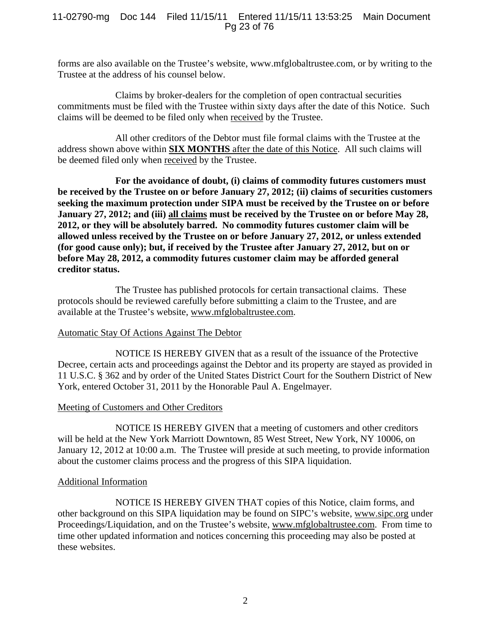#### 11-02790-mg Doc 144 Filed 11/15/11 Entered 11/15/11 13:53:25 Main Document Pg 23 of 76

forms are also available on the Trustee's website, www.mfglobaltrustee.com, or by writing to the Trustee at the address of his counsel below.

Claims by broker-dealers for the completion of open contractual securities commitments must be filed with the Trustee within sixty days after the date of this Notice. Such claims will be deemed to be filed only when received by the Trustee.

All other creditors of the Debtor must file formal claims with the Trustee at the address shown above within **SIX MONTHS** after the date of this Notice. All such claims will be deemed filed only when received by the Trustee.

**For the avoidance of doubt, (i) claims of commodity futures customers must be received by the Trustee on or before January 27, 2012; (ii) claims of securities customers seeking the maximum protection under SIPA must be received by the Trustee on or before January 27, 2012; and (iii) all claims must be received by the Trustee on or before May 28, 2012, or they will be absolutely barred. No commodity futures customer claim will be allowed unless received by the Trustee on or before January 27, 2012, or unless extended (for good cause only); but, if received by the Trustee after January 27, 2012, but on or before May 28, 2012, a commodity futures customer claim may be afforded general creditor status.** 

 The Trustee has published protocols for certain transactional claims. These protocols should be reviewed carefully before submitting a claim to the Trustee, and are available at the Trustee's website, www.mfglobaltrustee.com.

#### Automatic Stay Of Actions Against The Debtor

NOTICE IS HEREBY GIVEN that as a result of the issuance of the Protective Decree, certain acts and proceedings against the Debtor and its property are stayed as provided in 11 U.S.C. § 362 and by order of the United States District Court for the Southern District of New York, entered October 31, 2011 by the Honorable Paul A. Engelmayer.

#### Meeting of Customers and Other Creditors

NOTICE IS HEREBY GIVEN that a meeting of customers and other creditors will be held at the New York Marriott Downtown, 85 West Street, New York, NY 10006, on January 12, 2012 at 10:00 a.m. The Trustee will preside at such meeting, to provide information about the customer claims process and the progress of this SIPA liquidation.

#### Additional Information

NOTICE IS HEREBY GIVEN THAT copies of this Notice, claim forms, and other background on this SIPA liquidation may be found on SIPC's website, www.sipc.org under Proceedings/Liquidation, and on the Trustee's website, www.mfglobaltrustee.com. From time to time other updated information and notices concerning this proceeding may also be posted at these websites.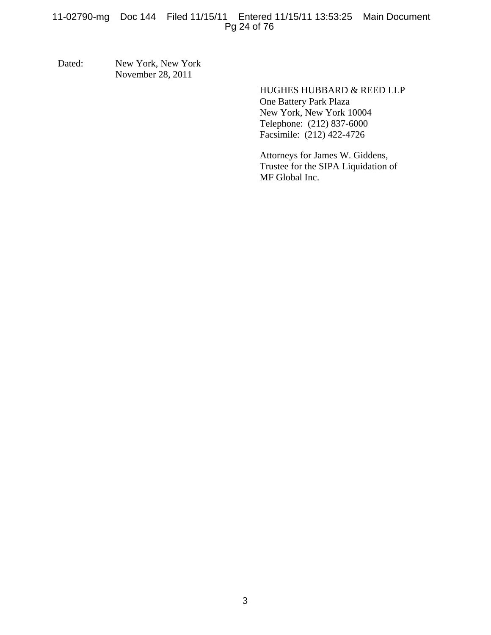#### 11-02790-mg Doc 144 Filed 11/15/11 Entered 11/15/11 13:53:25 Main Document Pg 24 of 76

Dated: New York, New York November 28, 2011

> HUGHES HUBBARD & REED LLP One Battery Park Plaza New York, New York 10004 Telephone: (212) 837-6000 Facsimile: (212) 422-4726

Attorneys for James W. Giddens, Trustee for the SIPA Liquidation of MF Global Inc.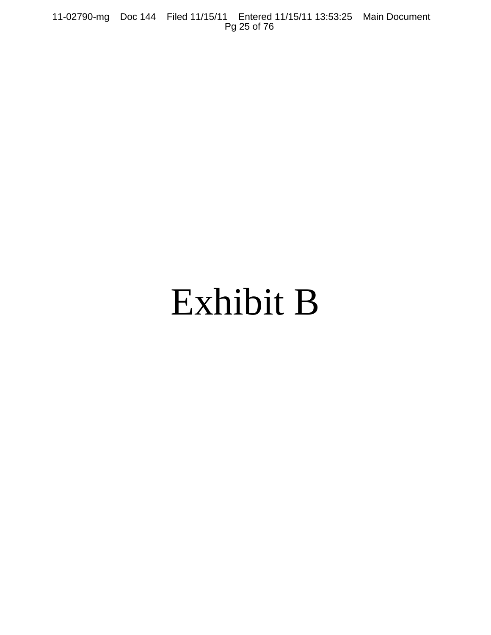11-02790-mg Doc 144 Filed 11/15/11 Entered 11/15/11 13:53:25 Main Document Pg 25 of 76

# Exhibit B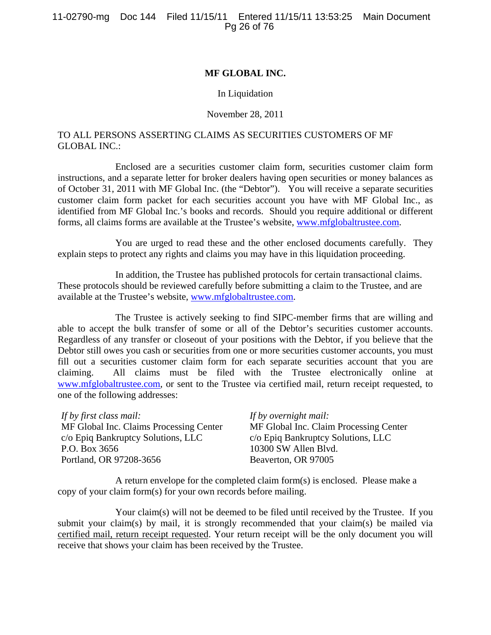#### **MF GLOBAL INC.**

#### In Liquidation

#### November 28, 2011

#### TO ALL PERSONS ASSERTING CLAIMS AS SECURITIES CUSTOMERS OF MF GLOBAL INC.:

Enclosed are a securities customer claim form, securities customer claim form instructions, and a separate letter for broker dealers having open securities or money balances as of October 31, 2011 with MF Global Inc. (the "Debtor"). You will receive a separate securities customer claim form packet for each securities account you have with MF Global Inc., as identified from MF Global Inc.'s books and records. Should you require additional or different forms, all claims forms are available at the Trustee's website, www.mfglobaltrustee.com.

You are urged to read these and the other enclosed documents carefully. They explain steps to protect any rights and claims you may have in this liquidation proceeding.

 In addition, the Trustee has published protocols for certain transactional claims. These protocols should be reviewed carefully before submitting a claim to the Trustee, and are available at the Trustee's website, www.mfglobaltrustee.com.

The Trustee is actively seeking to find SIPC-member firms that are willing and able to accept the bulk transfer of some or all of the Debtor's securities customer accounts. Regardless of any transfer or closeout of your positions with the Debtor, if you believe that the Debtor still owes you cash or securities from one or more securities customer accounts, you must fill out a securities customer claim form for each separate securities account that you are claiming. All claims must be filed with the Trustee electronically online at www.mfglobaltrustee.com, or sent to the Trustee via certified mail, return receipt requested, to one of the following addresses:

| If by first class mail:                 | If by overnight mail:                  |
|-----------------------------------------|----------------------------------------|
| MF Global Inc. Claims Processing Center | MF Global Inc. Claim Processing Center |
| c/o Epiq Bankruptcy Solutions, LLC      | c/o Epiq Bankruptcy Solutions, LLC     |
| P.O. Box 3656                           | 10300 SW Allen Blvd.                   |
| Portland, OR 97208-3656                 | Beaverton, OR 97005                    |

A return envelope for the completed claim form(s) is enclosed. Please make a copy of your claim form(s) for your own records before mailing.

Your claim(s) will not be deemed to be filed until received by the Trustee. If you submit your claim(s) by mail, it is strongly recommended that your claim(s) be mailed via certified mail, return receipt requested. Your return receipt will be the only document you will receive that shows your claim has been received by the Trustee.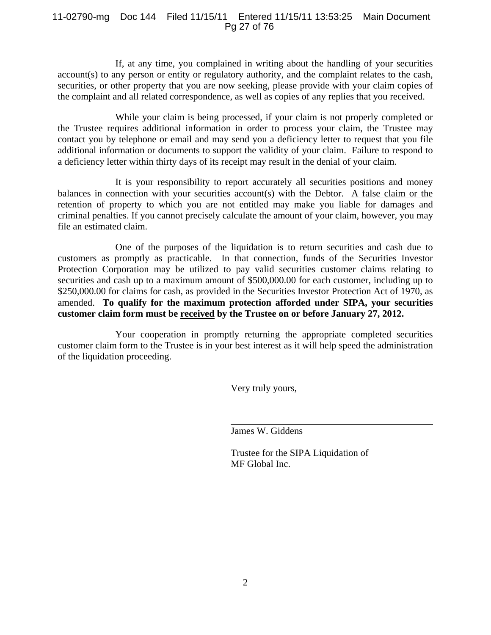#### 11-02790-mg Doc 144 Filed 11/15/11 Entered 11/15/11 13:53:25 Main Document Pg 27 of 76

If, at any time, you complained in writing about the handling of your securities account(s) to any person or entity or regulatory authority, and the complaint relates to the cash, securities, or other property that you are now seeking, please provide with your claim copies of the complaint and all related correspondence, as well as copies of any replies that you received.

While your claim is being processed, if your claim is not properly completed or the Trustee requires additional information in order to process your claim, the Trustee may contact you by telephone or email and may send you a deficiency letter to request that you file additional information or documents to support the validity of your claim. Failure to respond to a deficiency letter within thirty days of its receipt may result in the denial of your claim.

It is your responsibility to report accurately all securities positions and money balances in connection with your securities account(s) with the Debtor. A false claim or the retention of property to which you are not entitled may make you liable for damages and criminal penalties. If you cannot precisely calculate the amount of your claim, however, you may file an estimated claim.

One of the purposes of the liquidation is to return securities and cash due to customers as promptly as practicable. In that connection, funds of the Securities Investor Protection Corporation may be utilized to pay valid securities customer claims relating to securities and cash up to a maximum amount of \$500,000.00 for each customer, including up to \$250,000.00 for claims for cash, as provided in the Securities Investor Protection Act of 1970, as amended. **To qualify for the maximum protection afforded under SIPA, your securities customer claim form must be received by the Trustee on or before January 27, 2012.**

Your cooperation in promptly returning the appropriate completed securities customer claim form to the Trustee is in your best interest as it will help speed the administration of the liquidation proceeding.

Very truly yours,

James W. Giddens

Trustee for the SIPA Liquidation of MF Global Inc.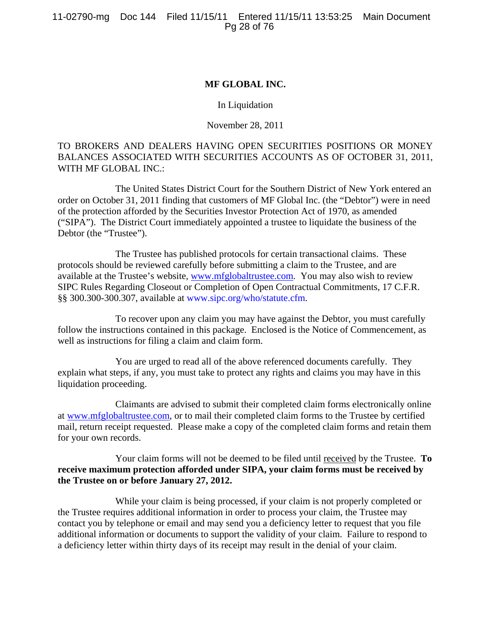#### **MF GLOBAL INC.**

#### In Liquidation

#### November 28, 2011

#### TO BROKERS AND DEALERS HAVING OPEN SECURITIES POSITIONS OR MONEY BALANCES ASSOCIATED WITH SECURITIES ACCOUNTS AS OF OCTOBER 31, 2011, WITH MF GLOBAL INC.:

The United States District Court for the Southern District of New York entered an order on October 31, 2011 finding that customers of MF Global Inc. (the "Debtor") were in need of the protection afforded by the Securities Investor Protection Act of 1970, as amended ("SIPA"). The District Court immediately appointed a trustee to liquidate the business of the Debtor (the "Trustee").

 The Trustee has published protocols for certain transactional claims. These protocols should be reviewed carefully before submitting a claim to the Trustee, and are available at the Trustee's website, www.mfglobaltrustee.com.You may also wish to review SIPC Rules Regarding Closeout or Completion of Open Contractual Commitments, 17 C.F.R. §§ 300.300-300.307, available at www.sipc.org/who/statute.cfm.

To recover upon any claim you may have against the Debtor, you must carefully follow the instructions contained in this package. Enclosed is the Notice of Commencement, as well as instructions for filing a claim and claim form.

You are urged to read all of the above referenced documents carefully. They explain what steps, if any, you must take to protect any rights and claims you may have in this liquidation proceeding.

Claimants are advised to submit their completed claim forms electronically online at www.mfglobaltrustee.com, or to mail their completed claim forms to the Trustee by certified mail, return receipt requested. Please make a copy of the completed claim forms and retain them for your own records.

#### Your claim forms will not be deemed to be filed until received by the Trustee. **To receive maximum protection afforded under SIPA, your claim forms must be received by the Trustee on or before January 27, 2012.**

While your claim is being processed, if your claim is not properly completed or the Trustee requires additional information in order to process your claim, the Trustee may contact you by telephone or email and may send you a deficiency letter to request that you file additional information or documents to support the validity of your claim. Failure to respond to a deficiency letter within thirty days of its receipt may result in the denial of your claim.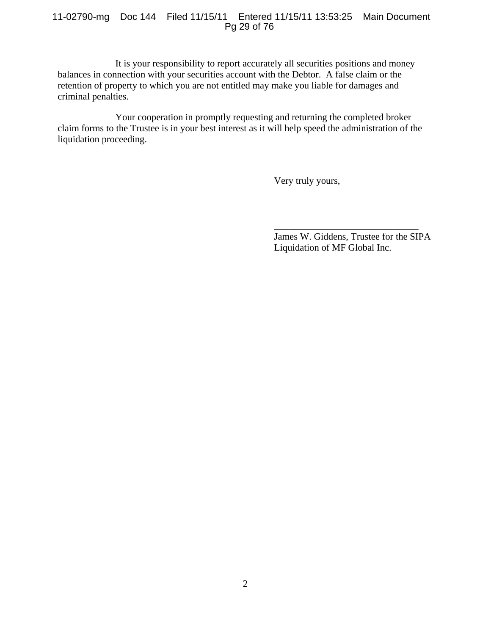#### 11-02790-mg Doc 144 Filed 11/15/11 Entered 11/15/11 13:53:25 Main Document Pg 29 of 76

It is your responsibility to report accurately all securities positions and money balances in connection with your securities account with the Debtor. A false claim or the retention of property to which you are not entitled may make you liable for damages and criminal penalties.

Your cooperation in promptly requesting and returning the completed broker claim forms to the Trustee is in your best interest as it will help speed the administration of the liquidation proceeding.

Very truly yours,

James W. Giddens, Trustee for the SIPA Liquidation of MF Global Inc.

\_\_\_\_\_\_\_\_\_\_\_\_\_\_\_\_\_\_\_\_\_\_\_\_\_\_\_\_\_\_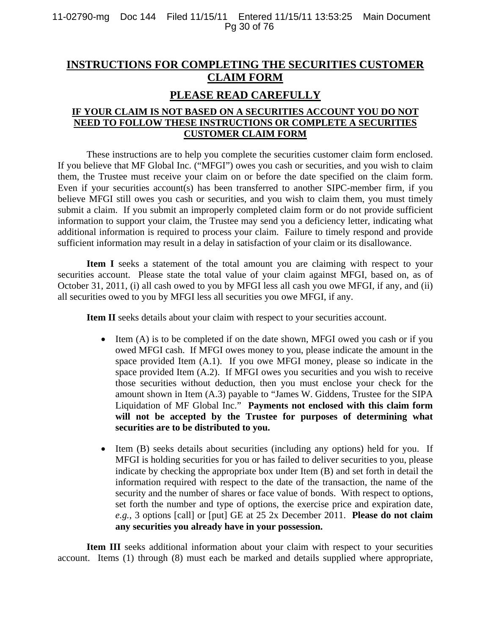## **INSTRUCTIONS FOR COMPLETING THE SECURITIES CUSTOMER CLAIM FORM**

## **PLEASE READ CAREFULLY**

### **IF YOUR CLAIM IS NOT BASED ON A SECURITIES ACCOUNT YOU DO NOT NEED TO FOLLOW THESE INSTRUCTIONS OR COMPLETE A SECURITIES CUSTOMER CLAIM FORM**

These instructions are to help you complete the securities customer claim form enclosed. If you believe that MF Global Inc. ("MFGI") owes you cash or securities, and you wish to claim them, the Trustee must receive your claim on or before the date specified on the claim form. Even if your securities account(s) has been transferred to another SIPC-member firm, if you believe MFGI still owes you cash or securities, and you wish to claim them, you must timely submit a claim. If you submit an improperly completed claim form or do not provide sufficient information to support your claim, the Trustee may send you a deficiency letter, indicating what additional information is required to process your claim. Failure to timely respond and provide sufficient information may result in a delay in satisfaction of your claim or its disallowance.

**Item I** seeks a statement of the total amount you are claiming with respect to your securities account. Please state the total value of your claim against MFGI, based on, as of October 31, 2011, (i) all cash owed to you by MFGI less all cash you owe MFGI, if any, and (ii) all securities owed to you by MFGI less all securities you owe MFGI, if any.

**Item II** seeks details about your claim with respect to your securities account.

- $\bullet$  Item (A) is to be completed if on the date shown, MFGI owed you cash or if you owed MFGI cash. If MFGI owes money to you, please indicate the amount in the space provided Item (A.1). If you owe MFGI money, please so indicate in the space provided Item (A.2). If MFGI owes you securities and you wish to receive those securities without deduction, then you must enclose your check for the amount shown in Item (A.3) payable to "James W. Giddens, Trustee for the SIPA Liquidation of MF Global Inc." **Payments not enclosed with this claim form will not be accepted by the Trustee for purposes of determining what securities are to be distributed to you.**
- Item (B) seeks details about securities (including any options) held for you. If MFGI is holding securities for you or has failed to deliver securities to you, please indicate by checking the appropriate box under Item (B) and set forth in detail the information required with respect to the date of the transaction, the name of the security and the number of shares or face value of bonds. With respect to options, set forth the number and type of options, the exercise price and expiration date, *e.g.*, 3 options [call] or [put] GE at 25 2x December 2011. **Please do not claim any securities you already have in your possession.**

Item III seeks additional information about your claim with respect to your securities account. Items (1) through (8) must each be marked and details supplied where appropriate,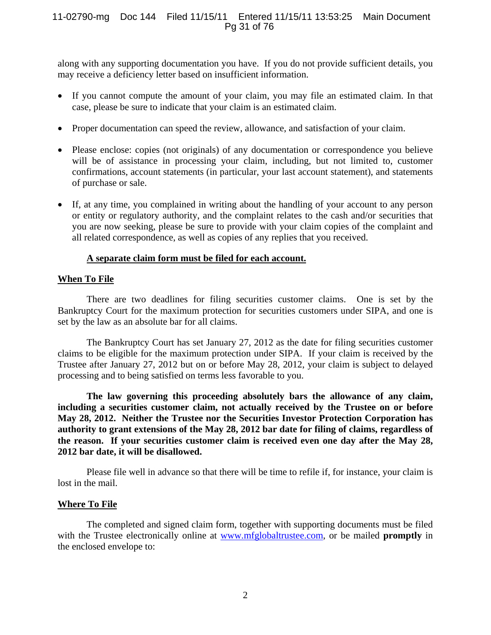#### 11-02790-mg Doc 144 Filed 11/15/11 Entered 11/15/11 13:53:25 Main Document Pg 31 of 76

along with any supporting documentation you have. If you do not provide sufficient details, you may receive a deficiency letter based on insufficient information.

- If you cannot compute the amount of your claim, you may file an estimated claim. In that case, please be sure to indicate that your claim is an estimated claim.
- Proper documentation can speed the review, allowance, and satisfaction of your claim.
- Please enclose: copies (not originals) of any documentation or correspondence you believe will be of assistance in processing your claim, including, but not limited to, customer confirmations, account statements (in particular, your last account statement), and statements of purchase or sale.
- If, at any time, you complained in writing about the handling of your account to any person or entity or regulatory authority, and the complaint relates to the cash and/or securities that you are now seeking, please be sure to provide with your claim copies of the complaint and all related correspondence, as well as copies of any replies that you received.

#### **A separate claim form must be filed for each account.**

#### **When To File**

There are two deadlines for filing securities customer claims. One is set by the Bankruptcy Court for the maximum protection for securities customers under SIPA, and one is set by the law as an absolute bar for all claims.

The Bankruptcy Court has set January 27, 2012 as the date for filing securities customer claims to be eligible for the maximum protection under SIPA. If your claim is received by the Trustee after January 27, 2012 but on or before May 28, 2012, your claim is subject to delayed processing and to being satisfied on terms less favorable to you.

**The law governing this proceeding absolutely bars the allowance of any claim, including a securities customer claim, not actually received by the Trustee on or before May 28, 2012. Neither the Trustee nor the Securities Investor Protection Corporation has authority to grant extensions of the May 28, 2012 bar date for filing of claims, regardless of the reason. If your securities customer claim is received even one day after the May 28, 2012 bar date, it will be disallowed.** 

Please file well in advance so that there will be time to refile if, for instance, your claim is lost in the mail.

#### **Where To File**

The completed and signed claim form, together with supporting documents must be filed with the Trustee electronically online at www.mfglobaltrustee.com, or be mailed **promptly** in the enclosed envelope to: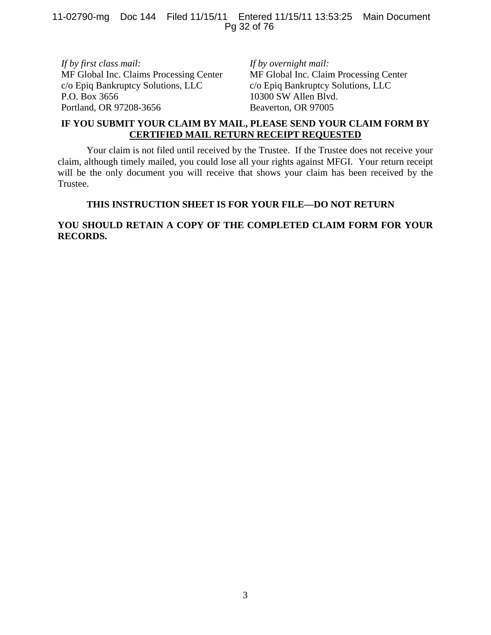11-02790-mg Doc 144 Filed 11/15/11 Entered 11/15/11 13:53:25 Main Document Pg 32 of 76

*If by first class mail:*  MF Global Inc. Claims Processing Center c/o Epiq Bankruptcy Solutions, LLC P.O. Box 3656 Portland, OR 97208-3656

*If by overnight mail:* MF Global Inc. Claim Processing Center c/o Epiq Bankruptcy Solutions, LLC 10300 SW Allen Blvd. Beaverton, OR 97005

#### **IF YOU SUBMIT YOUR CLAIM BY MAIL, PLEASE SEND YOUR CLAIM FORM BY CERTIFIED MAIL RETURN RECEIPT REQUESTED**

Your claim is not filed until received by the Trustee. If the Trustee does not receive your claim, although timely mailed, you could lose all your rights against MFGI. Your return receipt will be the only document you will receive that shows your claim has been received by the Trustee.

#### **THIS INSTRUCTION SHEET IS FOR YOUR FILE—DO NOT RETURN**

#### **YOU SHOULD RETAIN A COPY OF THE COMPLETED CLAIM FORM FOR YOUR RECORDS.**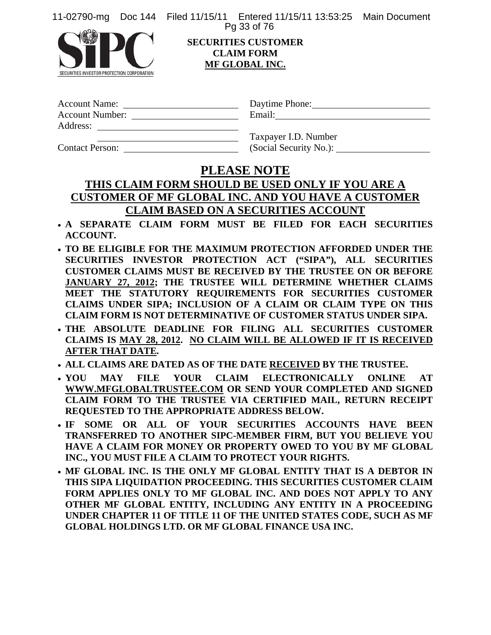11-02790-mg Doc 144 Filed 11/15/11 Entered 11/15/11 13:53:25 Main Document Pg 33 of 76



SECURITIES INVESTOR PROTECTION CORPORATION

#### **SECURITIES CUSTOMER CLAIM FORM MF GLOBAL INC.**

| <b>Account Name:</b>   |  |
|------------------------|--|
| <b>Account Number:</b> |  |
| Address:               |  |

Daytime Phone: 2000 Email:

Contact Person:

Taxpayer I.D. Number

# **PLEASE NOTE**

# **THIS CLAIM FORM SHOULD BE USED ONLY IF YOU ARE A CUSTOMER OF MF GLOBAL INC. AND YOU HAVE A CUSTOMER CLAIM BASED ON A SECURITIES ACCOUNT**

- **A SEPARATE CLAIM FORM MUST BE FILED FOR EACH SECURITIES ACCOUNT.**
- **TO BE ELIGIBLE FOR THE MAXIMUM PROTECTION AFFORDED UNDER THE SECURITIES INVESTOR PROTECTION ACT ("SIPA"), ALL SECURITIES CUSTOMER CLAIMS MUST BE RECEIVED BY THE TRUSTEE ON OR BEFORE JANUARY 27, 2012; THE TRUSTEE WILL DETERMINE WHETHER CLAIMS MEET THE STATUTORY REQUIREMENTS FOR SECURITIES CUSTOMER CLAIMS UNDER SIPA; INCLUSION OF A CLAIM OR CLAIM TYPE ON THIS CLAIM FORM IS NOT DETERMINATIVE OF CUSTOMER STATUS UNDER SIPA.**
- **THE ABSOLUTE DEADLINE FOR FILING ALL SECURITIES CUSTOMER CLAIMS IS MAY 28, 2012. NO CLAIM WILL BE ALLOWED IF IT IS RECEIVED AFTER THAT DATE.**
- **ALL CLAIMS ARE DATED AS OF THE DATE RECEIVED BY THE TRUSTEE.**
- **YOU MAY FILE YOUR CLAIM ELECTRONICALLY ONLINE AT WWW.MFGLOBALTRUSTEE.COM OR SEND YOUR COMPLETED AND SIGNED CLAIM FORM TO THE TRUSTEE VIA CERTIFIED MAIL, RETURN RECEIPT REQUESTED TO THE APPROPRIATE ADDRESS BELOW.**
- **IF SOME OR ALL OF YOUR SECURITIES ACCOUNTS HAVE BEEN TRANSFERRED TO ANOTHER SIPC-MEMBER FIRM, BUT YOU BELIEVE YOU HAVE A CLAIM FOR MONEY OR PROPERTY OWED TO YOU BY MF GLOBAL INC., YOU MUST FILE A CLAIM TO PROTECT YOUR RIGHTS.**
- **MF GLOBAL INC. IS THE ONLY MF GLOBAL ENTITY THAT IS A DEBTOR IN THIS SIPA LIQUIDATION PROCEEDING. THIS SECURITIES CUSTOMER CLAIM FORM APPLIES ONLY TO MF GLOBAL INC. AND DOES NOT APPLY TO ANY OTHER MF GLOBAL ENTITY, INCLUDING ANY ENTITY IN A PROCEEDING UNDER CHAPTER 11 OF TITLE 11 OF THE UNITED STATES CODE, SUCH AS MF GLOBAL HOLDINGS LTD. OR MF GLOBAL FINANCE USA INC.**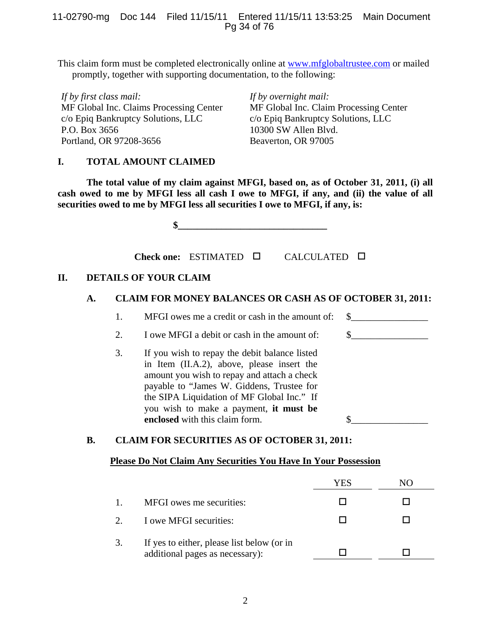#### 11-02790-mg Doc 144 Filed 11/15/11 Entered 11/15/11 13:53:25 Main Document Pg 34 of 76

This claim form must be completed electronically online at www.mfglobaltrustee.com or mailed promptly, together with supporting documentation, to the following:

*If by first class mail:*  MF Global Inc. Claims Processing Center c/o Epiq Bankruptcy Solutions, LLC P.O. Box 3656 Portland, OR 97208-3656

*If by overnight mail:* MF Global Inc. Claim Processing Center c/o Epiq Bankruptcy Solutions, LLC 10300 SW Allen Blvd. Beaverton, OR 97005

#### **I. TOTAL AMOUNT CLAIMED**

 **The total value of my claim against MFGI, based on, as of October 31, 2011, (i) all cash owed to me by MFGI less all cash I owe to MFGI, if any, and (ii) the value of all securities owed to me by MFGI less all securities I owe to MFGI, if any, is:** 

 $\frac{1}{2}$ 

**Check one:** ESTIMATED CALCULATED

#### **II. DETAILS OF YOUR CLAIM**

#### **A. CLAIM FOR MONEY BALANCES OR CASH AS OF OCTOBER 31, 2011:**

- 1. MFGI owes me a credit or cash in the amount of:  $\quad \text{\_}$
- 2. I owe MFGI a debit or cash in the amount of:  $\$\$
- 3. If you wish to repay the debit balance listed in Item (II.A.2), above, please insert the amount you wish to repay and attach a check payable to "James W. Giddens, Trustee for the SIPA Liquidation of MF Global Inc." If you wish to make a payment, **it must be enclosed** with this claim form.

#### **B. CLAIM FOR SECURITIES AS OF OCTOBER 31, 2011:**

#### **Please Do Not Claim Any Securities You Have In Your Possession**

|                                                                               | YES | N() |
|-------------------------------------------------------------------------------|-----|-----|
| MFGI owes me securities:                                                      |     |     |
| I owe MFGI securities:                                                        |     |     |
| If yes to either, please list below (or in<br>additional pages as necessary): |     |     |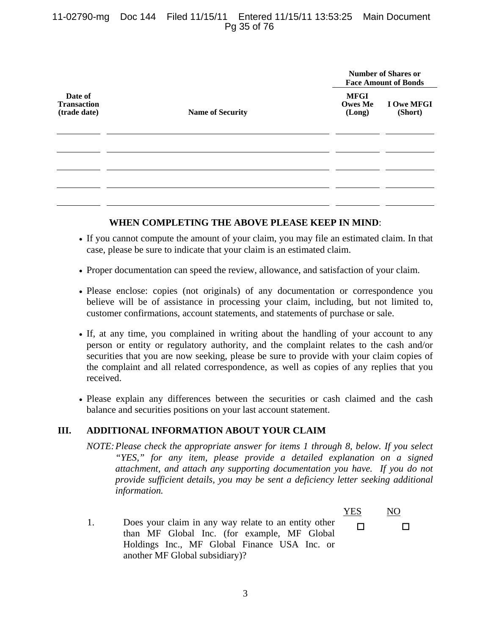#### 11-02790-mg Doc 144 Filed 11/15/11 Entered 11/15/11 13:53:25 Main Document Pg 35 of 76

|                                               |                         | <b>Number of Shares or</b><br><b>Face Amount of Bonds</b> |                       |
|-----------------------------------------------|-------------------------|-----------------------------------------------------------|-----------------------|
| Date of<br><b>Transaction</b><br>(trade date) | <b>Name of Security</b> | <b>MFGI</b><br><b>Owes Me</b><br>(Long)                   | I Owe MFGI<br>(Short) |
|                                               |                         |                                                           |                       |
|                                               |                         |                                                           |                       |
|                                               |                         |                                                           |                       |
|                                               |                         |                                                           |                       |

#### **WHEN COMPLETING THE ABOVE PLEASE KEEP IN MIND**:

- If you cannot compute the amount of your claim, you may file an estimated claim. In that case, please be sure to indicate that your claim is an estimated claim.
- Proper documentation can speed the review, allowance, and satisfaction of your claim.
- Please enclose: copies (not originals) of any documentation or correspondence you believe will be of assistance in processing your claim, including, but not limited to, customer confirmations, account statements, and statements of purchase or sale.
- If, at any time, you complained in writing about the handling of your account to any person or entity or regulatory authority, and the complaint relates to the cash and/or securities that you are now seeking, please be sure to provide with your claim copies of the complaint and all related correspondence, as well as copies of any replies that you received.
- Please explain any differences between the securities or cash claimed and the cash balance and securities positions on your last account statement.

#### **III. ADDITIONAL INFORMATION ABOUT YOUR CLAIM**

*NOTE: Please check the appropriate answer for items 1 through 8, below. If you select "YES," for any item, please provide a detailed explanation on a signed attachment, and attach any supporting documentation you have. If you do not provide sufficient details, you may be sent a deficiency letter seeking additional information.*

 YES NO 1. Does your claim in any way relate to an entity other than MF Global Inc. (for example, MF Global Holdings Inc., MF Global Finance USA Inc. or another MF Global subsidiary)?  $\Box$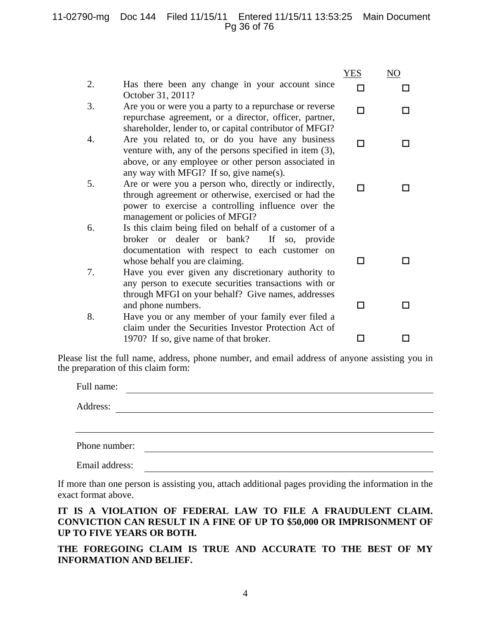#### 11-02790-mg Doc 144 Filed 11/15/11 Entered 11/15/11 13:53:25 Main Document Pg 36 of 76

|    |                                                                                                                                                                                                                  | <b>YES</b> | NO |
|----|------------------------------------------------------------------------------------------------------------------------------------------------------------------------------------------------------------------|------------|----|
| 2. | Has there been any change in your account since<br>October 31, 2011?                                                                                                                                             | П          |    |
| 3. | Are you or were you a party to a repurchase or reverse<br>repurchase agreement, or a director, officer, partner,<br>shareholder, lender to, or capital contributor of MFGI?                                      | п          |    |
| 4. | Are you related to, or do you have any business<br>venture with, any of the persons specified in item $(3)$ ,<br>above, or any employee or other person associated in<br>any way with MFGI? If so, give name(s). | п          |    |
| 5. | Are or were you a person who, directly or indirectly,<br>through agreement or otherwise, exercised or had the<br>power to exercise a controlling influence over the<br>management or policies of MFGI?           | п          |    |
| 6. | Is this claim being filed on behalf of a customer of a<br>broker or dealer or bank?<br>If so, provide<br>documentation with respect to each customer on<br>whose behalf you are claiming.                        | П          |    |
| 7. | Have you ever given any discretionary authority to<br>any person to execute securities transactions with or<br>through MFGI on your behalf? Give names, addresses                                                |            |    |
| 8. | and phone numbers.<br>Have you or any member of your family ever filed a<br>claim under the Securities Investor Protection Act of                                                                                | П          |    |
|    | 1970? If so, give name of that broker.                                                                                                                                                                           |            |    |

Please list the full name, address, phone number, and email address of anyone assisting you in the preparation of this claim form:

| Full name:    |  |  |
|---------------|--|--|
| Address:      |  |  |
|               |  |  |
| Phone number: |  |  |
|               |  |  |

If more than one person is assisting you, attach additional pages providing the information in the exact format above.

#### **IT IS A VIOLATION OF FEDERAL LAW TO FILE A FRAUDULENT CLAIM. CONVICTION CAN RESULT IN A FINE OF UP TO \$50,000 OR IMPRISONMENT OF UP TO FIVE YEARS OR BOTH.**

**THE FOREGOING CLAIM IS TRUE AND ACCURATE TO THE BEST OF MY INFORMATION AND BELIEF.**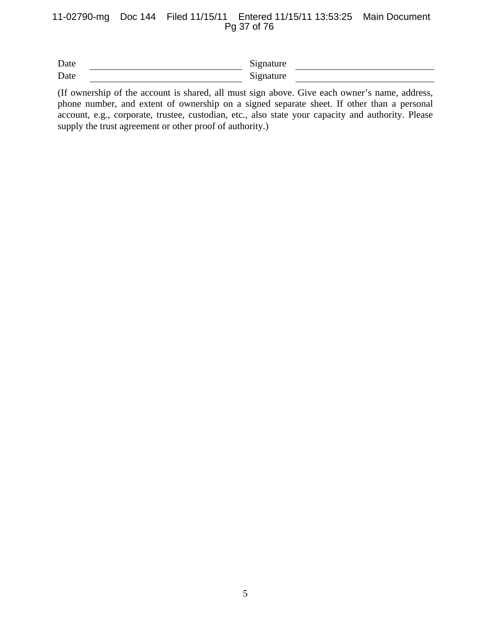## 11-02790-mg Doc 144 Filed 11/15/11 Entered 11/15/11 13:53:25 Main Document Pg 37 of 76

| Date | Signature |  |
|------|-----------|--|
| Date | Signature |  |

(If ownership of the account is shared, all must sign above. Give each owner's name, address, phone number, and extent of ownership on a signed separate sheet. If other than a personal account, e.g., corporate, trustee, custodian, etc., also state your capacity and authority. Please supply the trust agreement or other proof of authority.)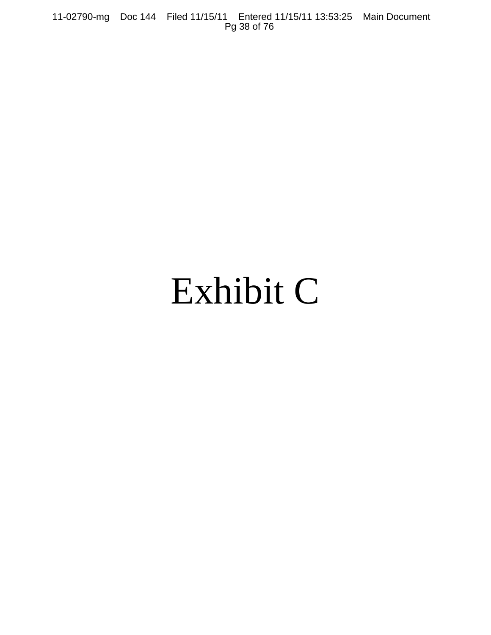11-02790-mg Doc 144 Filed 11/15/11 Entered 11/15/11 13:53:25 Main Document Pg 38 of 76

# Exhibit C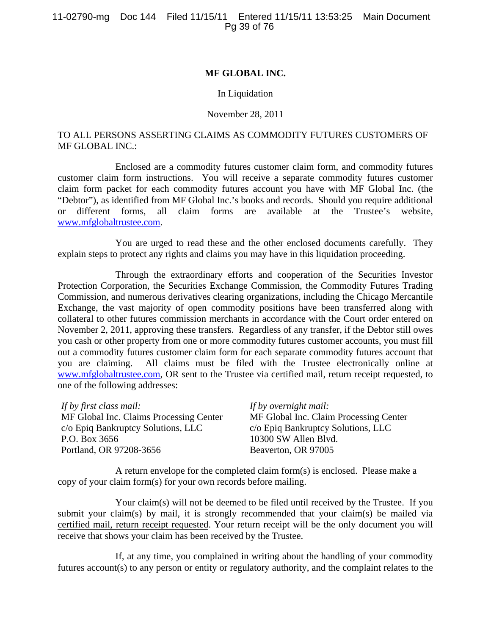## **MF GLOBAL INC.**

### In Liquidation

### November 28, 2011

## TO ALL PERSONS ASSERTING CLAIMS AS COMMODITY FUTURES CUSTOMERS OF MF GLOBAL INC.:

Enclosed are a commodity futures customer claim form, and commodity futures customer claim form instructions. You will receive a separate commodity futures customer claim form packet for each commodity futures account you have with MF Global Inc. (the "Debtor"), as identified from MF Global Inc.'s books and records. Should you require additional or different forms, all claim forms are available at the Trustee's website, www.mfglobaltrustee.com.

You are urged to read these and the other enclosed documents carefully. They explain steps to protect any rights and claims you may have in this liquidation proceeding.

Through the extraordinary efforts and cooperation of the Securities Investor Protection Corporation, the Securities Exchange Commission, the Commodity Futures Trading Commission, and numerous derivatives clearing organizations, including the Chicago Mercantile Exchange, the vast majority of open commodity positions have been transferred along with collateral to other futures commission merchants in accordance with the Court order entered on November 2, 2011, approving these transfers. Regardless of any transfer, if the Debtor still owes you cash or other property from one or more commodity futures customer accounts, you must fill out a commodity futures customer claim form for each separate commodity futures account that you are claiming. All claims must be filed with the Trustee electronically online at www.mfglobaltrustee.com, OR sent to the Trustee via certified mail, return receipt requested, to one of the following addresses:

| If by first class mail:                 | If by overnight mail:                  |
|-----------------------------------------|----------------------------------------|
| MF Global Inc. Claims Processing Center | MF Global Inc. Claim Processing Center |
| c/o Epiq Bankruptcy Solutions, LLC      | c/o Epiq Bankruptcy Solutions, LLC     |
| P.O. Box 3656                           | 10300 SW Allen Blvd.                   |
| Portland, OR 97208-3656                 | Beaverton, OR 97005                    |

A return envelope for the completed claim form(s) is enclosed. Please make a copy of your claim form(s) for your own records before mailing.

Your claim(s) will not be deemed to be filed until received by the Trustee. If you submit your claim(s) by mail, it is strongly recommended that your claim(s) be mailed via certified mail, return receipt requested. Your return receipt will be the only document you will receive that shows your claim has been received by the Trustee.

If, at any time, you complained in writing about the handling of your commodity futures account(s) to any person or entity or regulatory authority, and the complaint relates to the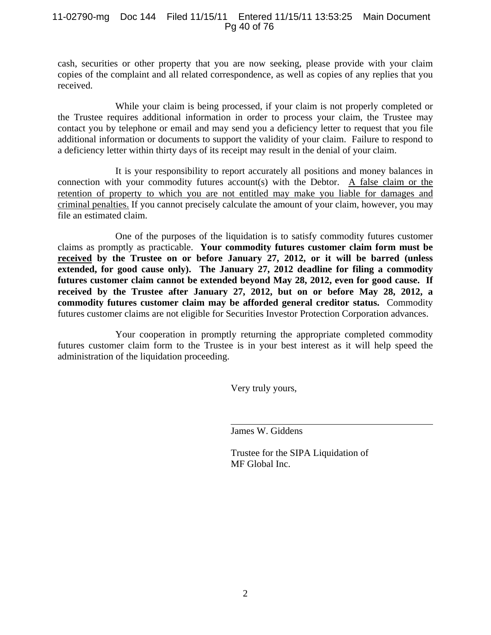## 11-02790-mg Doc 144 Filed 11/15/11 Entered 11/15/11 13:53:25 Main Document Pg 40 of 76

cash, securities or other property that you are now seeking, please provide with your claim copies of the complaint and all related correspondence, as well as copies of any replies that you received.

While your claim is being processed, if your claim is not properly completed or the Trustee requires additional information in order to process your claim, the Trustee may contact you by telephone or email and may send you a deficiency letter to request that you file additional information or documents to support the validity of your claim. Failure to respond to a deficiency letter within thirty days of its receipt may result in the denial of your claim.

It is your responsibility to report accurately all positions and money balances in connection with your commodity futures account(s) with the Debtor. A false claim or the retention of property to which you are not entitled may make you liable for damages and criminal penalties. If you cannot precisely calculate the amount of your claim, however, you may file an estimated claim.

One of the purposes of the liquidation is to satisfy commodity futures customer claims as promptly as practicable. **Your commodity futures customer claim form must be received by the Trustee on or before January 27, 2012, or it will be barred (unless extended, for good cause only). The January 27, 2012 deadline for filing a commodity futures customer claim cannot be extended beyond May 28, 2012, even for good cause. If received by the Trustee after January 27, 2012, but on or before May 28, 2012, a commodity futures customer claim may be afforded general creditor status.** Commodity futures customer claims are not eligible for Securities Investor Protection Corporation advances.

Your cooperation in promptly returning the appropriate completed commodity futures customer claim form to the Trustee is in your best interest as it will help speed the administration of the liquidation proceeding.

Very truly yours,

James W. Giddens

Trustee for the SIPA Liquidation of MF Global Inc.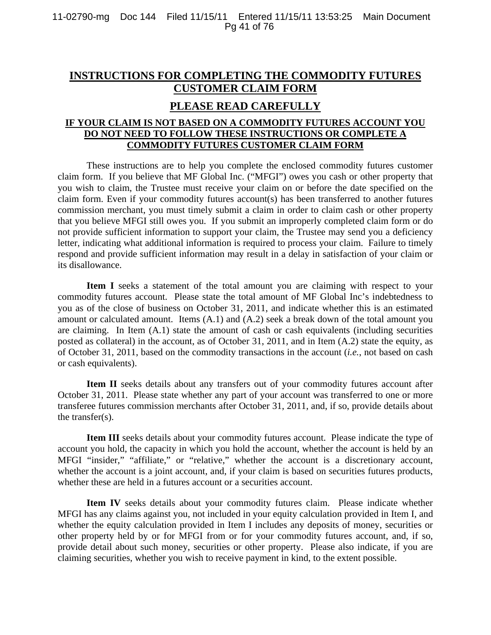## **INSTRUCTIONS FOR COMPLETING THE COMMODITY FUTURES CUSTOMER CLAIM FORM**

## **PLEASE READ CAREFULLY**

## **IF YOUR CLAIM IS NOT BASED ON A COMMODITY FUTURES ACCOUNT YOU DO NOT NEED TO FOLLOW THESE INSTRUCTIONS OR COMPLETE A COMMODITY FUTURES CUSTOMER CLAIM FORM**

These instructions are to help you complete the enclosed commodity futures customer claim form. If you believe that MF Global Inc. ("MFGI") owes you cash or other property that you wish to claim, the Trustee must receive your claim on or before the date specified on the claim form. Even if your commodity futures account(s) has been transferred to another futures commission merchant, you must timely submit a claim in order to claim cash or other property that you believe MFGI still owes you. If you submit an improperly completed claim form or do not provide sufficient information to support your claim, the Trustee may send you a deficiency letter, indicating what additional information is required to process your claim. Failure to timely respond and provide sufficient information may result in a delay in satisfaction of your claim or its disallowance.

**Item I** seeks a statement of the total amount you are claiming with respect to your commodity futures account. Please state the total amount of MF Global Inc's indebtedness to you as of the close of business on October 31, 2011, and indicate whether this is an estimated amount or calculated amount. Items (A.1) and (A.2) seek a break down of the total amount you are claiming. In Item (A.1) state the amount of cash or cash equivalents (including securities posted as collateral) in the account, as of October 31, 2011, and in Item (A.2) state the equity, as of October 31, 2011, based on the commodity transactions in the account (*i.e.*, not based on cash or cash equivalents).

Item II seeks details about any transfers out of your commodity futures account after October 31, 2011. Please state whether any part of your account was transferred to one or more transferee futures commission merchants after October 31, 2011, and, if so, provide details about the transfer(s).

**Item III** seeks details about your commodity futures account. Please indicate the type of account you hold, the capacity in which you hold the account, whether the account is held by an MFGI "insider," "affiliate," or "relative," whether the account is a discretionary account, whether the account is a joint account, and, if your claim is based on securities futures products, whether these are held in a futures account or a securities account.

**Item IV** seeks details about your commodity futures claim. Please indicate whether MFGI has any claims against you, not included in your equity calculation provided in Item I, and whether the equity calculation provided in Item I includes any deposits of money, securities or other property held by or for MFGI from or for your commodity futures account, and, if so, provide detail about such money, securities or other property. Please also indicate, if you are claiming securities, whether you wish to receive payment in kind, to the extent possible.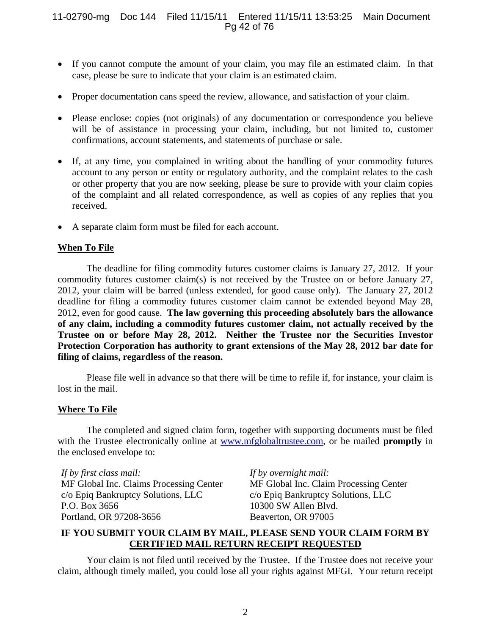## 11-02790-mg Doc 144 Filed 11/15/11 Entered 11/15/11 13:53:25 Main Document Pg 42 of 76

- If you cannot compute the amount of your claim, you may file an estimated claim. In that case, please be sure to indicate that your claim is an estimated claim.
- Proper documentation cans speed the review, allowance, and satisfaction of your claim.
- Please enclose: copies (not originals) of any documentation or correspondence you believe will be of assistance in processing your claim, including, but not limited to, customer confirmations, account statements, and statements of purchase or sale.
- If, at any time, you complained in writing about the handling of your commodity futures account to any person or entity or regulatory authority, and the complaint relates to the cash or other property that you are now seeking, please be sure to provide with your claim copies of the complaint and all related correspondence, as well as copies of any replies that you received.
- A separate claim form must be filed for each account.

## **When To File**

The deadline for filing commodity futures customer claims is January 27, 2012. If your commodity futures customer claim(s) is not received by the Trustee on or before January 27, 2012, your claim will be barred (unless extended, for good cause only). The January 27, 2012 deadline for filing a commodity futures customer claim cannot be extended beyond May 28, 2012, even for good cause. **The law governing this proceeding absolutely bars the allowance of any claim, including a commodity futures customer claim, not actually received by the Trustee on or before May 28, 2012. Neither the Trustee nor the Securities Investor Protection Corporation has authority to grant extensions of the May 28, 2012 bar date for filing of claims, regardless of the reason.** 

Please file well in advance so that there will be time to refile if, for instance, your claim is lost in the mail.

## **Where To File**

The completed and signed claim form, together with supporting documents must be filed with the Trustee electronically online at www.mfglobaltrustee.com, or be mailed **promptly** in the enclosed envelope to:

*If by first class mail:*  MF Global Inc. Claims Processing Center c/o Epiq Bankruptcy Solutions, LLC P.O. Box 3656 Portland, OR 97208-3656

*If by overnight mail:* MF Global Inc. Claim Processing Center c/o Epiq Bankruptcy Solutions, LLC 10300 SW Allen Blvd. Beaverton, OR 97005

## **IF YOU SUBMIT YOUR CLAIM BY MAIL, PLEASE SEND YOUR CLAIM FORM BY CERTIFIED MAIL RETURN RECEIPT REQUESTED**

Your claim is not filed until received by the Trustee. If the Trustee does not receive your claim, although timely mailed, you could lose all your rights against MFGI. Your return receipt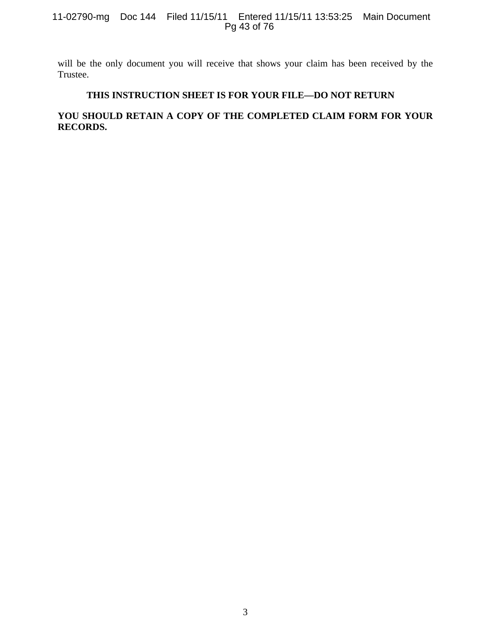## 11-02790-mg Doc 144 Filed 11/15/11 Entered 11/15/11 13:53:25 Main Document Pg 43 of 76

will be the only document you will receive that shows your claim has been received by the Trustee.

## **THIS INSTRUCTION SHEET IS FOR YOUR FILE—DO NOT RETURN**

## **YOU SHOULD RETAIN A COPY OF THE COMPLETED CLAIM FORM FOR YOUR RECORDS.**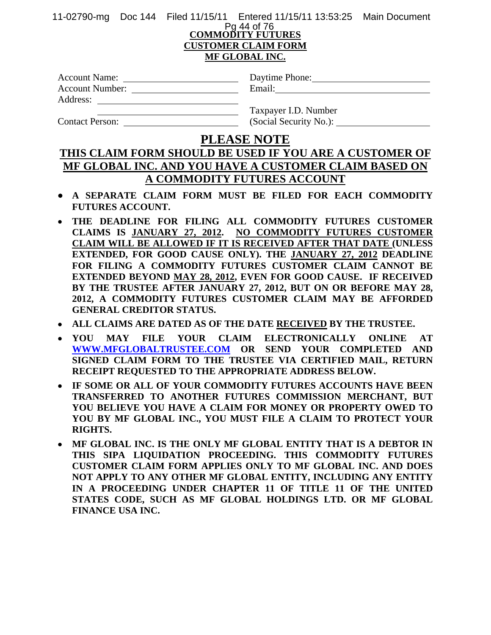11-02790-mg Doc 144 Filed 11/15/11 Entered 11/15/11 13:53:25 Main Document

## **COMMODITY FUTURES CUSTOMER CLAIM FORM MF GLOBAL INC.** Pg 44 of 76

| <b>Account Name:</b>   | Daytime Phone: |
|------------------------|----------------|
| <b>Account Number:</b> | Email:         |
| Address:               |                |

| Daytime Phone: |  |
|----------------|--|
| Email·         |  |

Contact Person: (Social Security No.):

Taxpayer I.D. Number

## **PLEASE NOTE**

## **THIS CLAIM FORM SHOULD BE USED IF YOU ARE A CUSTOMER OF MF GLOBAL INC. AND YOU HAVE A CUSTOMER CLAIM BASED ON A COMMODITY FUTURES ACCOUNT**

- **A SEPARATE CLAIM FORM MUST BE FILED FOR EACH COMMODITY FUTURES ACCOUNT.**
- **THE DEADLINE FOR FILING ALL COMMODITY FUTURES CUSTOMER CLAIMS IS JANUARY 27, 2012. NO COMMODITY FUTURES CUSTOMER CLAIM WILL BE ALLOWED IF IT IS RECEIVED AFTER THAT DATE (UNLESS EXTENDED, FOR GOOD CAUSE ONLY). THE JANUARY 27, 2012 DEADLINE FOR FILING A COMMODITY FUTURES CUSTOMER CLAIM CANNOT BE EXTENDED BEYOND MAY 28, 2012, EVEN FOR GOOD CAUSE. IF RECEIVED BY THE TRUSTEE AFTER JANUARY 27, 2012, BUT ON OR BEFORE MAY 28, 2012, A COMMODITY FUTURES CUSTOMER CLAIM MAY BE AFFORDED GENERAL CREDITOR STATUS.**
- **ALL CLAIMS ARE DATED AS OF THE DATE RECEIVED BY THE TRUSTEE.**
- **YOU MAY FILE YOUR CLAIM ELECTRONICALLY ONLINE AT WWW.MFGLOBALTRUSTEE.COM OR SEND YOUR COMPLETED AND SIGNED CLAIM FORM TO THE TRUSTEE VIA CERTIFIED MAIL, RETURN RECEIPT REQUESTED TO THE APPROPRIATE ADDRESS BELOW.**
- **IF SOME OR ALL OF YOUR COMMODITY FUTURES ACCOUNTS HAVE BEEN TRANSFERRED TO ANOTHER FUTURES COMMISSION MERCHANT, BUT YOU BELIEVE YOU HAVE A CLAIM FOR MONEY OR PROPERTY OWED TO YOU BY MF GLOBAL INC., YOU MUST FILE A CLAIM TO PROTECT YOUR RIGHTS.**
- **MF GLOBAL INC. IS THE ONLY MF GLOBAL ENTITY THAT IS A DEBTOR IN THIS SIPA LIQUIDATION PROCEEDING. THIS COMMODITY FUTURES CUSTOMER CLAIM FORM APPLIES ONLY TO MF GLOBAL INC. AND DOES NOT APPLY TO ANY OTHER MF GLOBAL ENTITY, INCLUDING ANY ENTITY IN A PROCEEDING UNDER CHAPTER 11 OF TITLE 11 OF THE UNITED STATES CODE, SUCH AS MF GLOBAL HOLDINGS LTD. OR MF GLOBAL FINANCE USA INC.**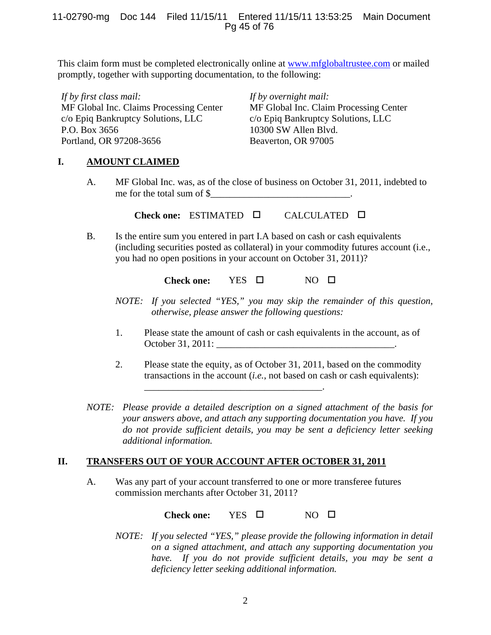## 11-02790-mg Doc 144 Filed 11/15/11 Entered 11/15/11 13:53:25 Main Document Pg 45 of 76

This claim form must be completed electronically online at www.mfglobaltrustee.com or mailed promptly, together with supporting documentation, to the following:

*If by first class mail:*  MF Global Inc. Claims Processing Center c/o Epiq Bankruptcy Solutions, LLC P.O. Box 3656 Portland, OR 97208-3656

*If by overnight mail:* MF Global Inc. Claim Processing Center c/o Epiq Bankruptcy Solutions, LLC 10300 SW Allen Blvd. Beaverton, OR 97005

## **I. AMOUNT CLAIMED**

A. MF Global Inc. was, as of the close of business on October 31, 2011, indebted to me for the total sum of \$

**Check one:** ESTIMATED CALCULATED

B. Is the entire sum you entered in part I.A based on cash or cash equivalents (including securities posted as collateral) in your commodity futures account (i.e., you had no open positions in your account on October 31, 2011)?

Check one: YES □ NO □

- *NOTE: If you selected "YES," you may skip the remainder of this question, otherwise, please answer the following questions:*
- 1. Please state the amount of cash or cash equivalents in the account, as of October 31, 2011:
- 2. Please state the equity, as of October 31, 2011, based on the commodity transactions in the account (*i.e.*, not based on cash or cash equivalents):
- *NOTE: Please provide a detailed description on a signed attachment of the basis for your answers above, and attach any supporting documentation you have. If you do not provide sufficient details, you may be sent a deficiency letter seeking additional information.*

## **II. TRANSFERS OUT OF YOUR ACCOUNT AFTER OCTOBER 31, 2011**

\_\_\_\_\_\_\_\_\_\_\_\_\_\_\_\_\_\_\_\_\_\_\_\_\_\_\_\_\_\_\_\_\_\_\_\_\_.

A. Was any part of your account transferred to one or more transferee futures commission merchants after October 31, 2011?

Check one: YES □ NO □

*NOTE: If you selected "YES," please provide the following information in detail on a signed attachment, and attach any supporting documentation you have. If you do not provide sufficient details, you may be sent a deficiency letter seeking additional information.*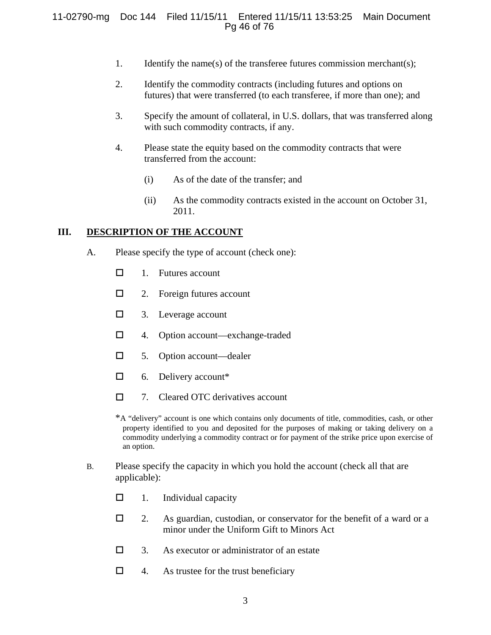## 11-02790-mg Doc 144 Filed 11/15/11 Entered 11/15/11 13:53:25 Main Document Pg 46 of 76

- 1. Identify the name(s) of the transferee futures commission merchant(s);
- 2. Identify the commodity contracts (including futures and options on futures) that were transferred (to each transferee, if more than one); and
- 3. Specify the amount of collateral, in U.S. dollars, that was transferred along with such commodity contracts, if any.
- 4. Please state the equity based on the commodity contracts that were transferred from the account:
	- (i) As of the date of the transfer; and
	- (ii) As the commodity contracts existed in the account on October 31, 2011.

## **III. DESCRIPTION OF THE ACCOUNT**

- A. Please specify the type of account (check one):
	- $\Box$  1. Futures account
	- $\Box$  2. Foreign futures account
	- □ 3. Leverage account
	- □ 4. Option account—exchange-traded
	- □ 5. Option account—dealer
	- $\Box$  6. Delivery account\*
	- $\Box$  7. Cleared OTC derivatives account

\*A "delivery" account is one which contains only documents of title, commodities, cash, or other property identified to you and deposited for the purposes of making or taking delivery on a commodity underlying a commodity contract or for payment of the strike price upon exercise of an option.

- B. Please specify the capacity in which you hold the account (check all that are applicable):
	- $\Box$  1. Individual capacity
	- $\Box$  2. As guardian, custodian, or conservator for the benefit of a ward or a minor under the Uniform Gift to Minors Act
	- $\Box$  3. As executor or administrator of an estate
	- $\Box$  4. As trustee for the trust beneficiary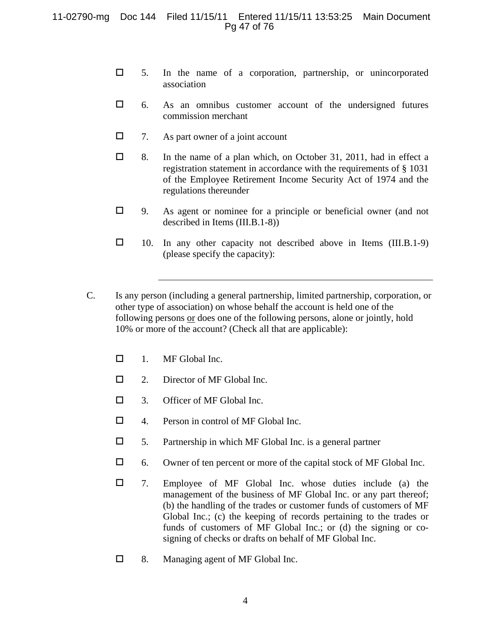## 11-02790-mg Doc 144 Filed 11/15/11 Entered 11/15/11 13:53:25 Main Document Pg 47 of 76

- $\Box$  5. In the name of a corporation, partnership, or unincorporated association
- $\Box$  6. As an omnibus customer account of the undersigned futures commission merchant
- $\Box$  7. As part owner of a joint account
- 8. In the name of a plan which, on October 31, 2011, had in effect a registration statement in accordance with the requirements of § 1031 of the Employee Retirement Income Security Act of 1974 and the regulations thereunder
- $\Box$  9. As agent or nominee for a principle or beneficial owner (and not described in Items (III.B.1-8))
- $\Box$  10. In any other capacity not described above in Items (III.B.1-9) (please specify the capacity):
- C. Is any person (including a general partnership, limited partnership, corporation, or other type of association) on whose behalf the account is held one of the following persons or does one of the following persons, alone or jointly, hold 10% or more of the account? (Check all that are applicable):
	- $\Box$  1. MF Global Inc.
	- 2. Director of MF Global Inc.
	- $\Box$  3. Officer of MF Global Inc.
	- □ 4. Person in control of MF Global Inc.
	- $\Box$  5. Partnership in which MF Global Inc. is a general partner
	- 6. Owner of ten percent or more of the capital stock of MF Global Inc.
	- 7. Employee of MF Global Inc. whose duties include (a) the management of the business of MF Global Inc. or any part thereof; (b) the handling of the trades or customer funds of customers of MF Global Inc.; (c) the keeping of records pertaining to the trades or funds of customers of MF Global Inc.; or (d) the signing or cosigning of checks or drafts on behalf of MF Global Inc.
	- □ 8. Managing agent of MF Global Inc.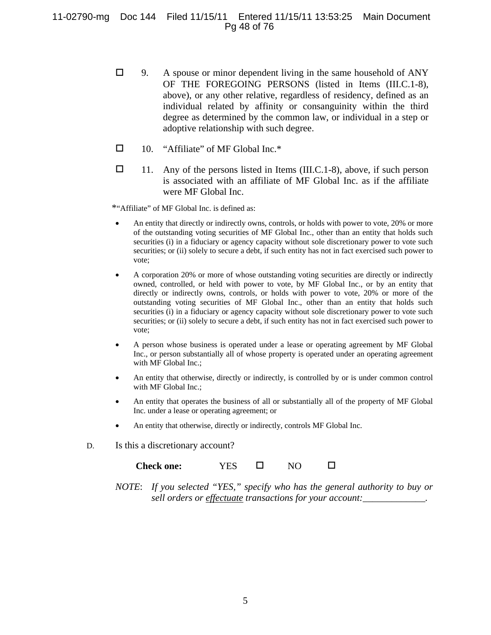## 11-02790-mg Doc 144 Filed 11/15/11 Entered 11/15/11 13:53:25 Main Document Pg 48 of 76

- $\Box$  9. A spouse or minor dependent living in the same household of ANY OF THE FOREGOING PERSONS (listed in Items (III.C.1-8), above), or any other relative, regardless of residency, defined as an individual related by affinity or consanguinity within the third degree as determined by the common law, or individual in a step or adoptive relationship with such degree.
- $\Box$  10. "Affiliate" of MF Global Inc.\*
- $\Box$  11. Any of the persons listed in Items (III.C.1-8), above, if such person is associated with an affiliate of MF Global Inc. as if the affiliate were MF Global Inc.

\*"Affiliate" of MF Global Inc. is defined as:

- An entity that directly or indirectly owns, controls, or holds with power to vote, 20% or more of the outstanding voting securities of MF Global Inc., other than an entity that holds such securities (i) in a fiduciary or agency capacity without sole discretionary power to vote such securities; or (ii) solely to secure a debt, if such entity has not in fact exercised such power to vote;
- A corporation 20% or more of whose outstanding voting securities are directly or indirectly owned, controlled, or held with power to vote, by MF Global Inc., or by an entity that directly or indirectly owns, controls, or holds with power to vote, 20% or more of the outstanding voting securities of MF Global Inc., other than an entity that holds such securities (i) in a fiduciary or agency capacity without sole discretionary power to vote such securities; or (ii) solely to secure a debt, if such entity has not in fact exercised such power to vote;
- A person whose business is operated under a lease or operating agreement by MF Global Inc., or person substantially all of whose property is operated under an operating agreement with MF Global Inc.;
- An entity that otherwise, directly or indirectly, is controlled by or is under common control with MF Global Inc.;
- An entity that operates the business of all or substantially all of the property of MF Global Inc. under a lease or operating agreement; or
- An entity that otherwise, directly or indirectly, controls MF Global Inc.
- D. Is this a discretionary account?

| <b>Check one:</b> | <b>YES</b> |  | NO |  |
|-------------------|------------|--|----|--|
|-------------------|------------|--|----|--|

*NOTE*: *If you selected "YES," specify who has the general authority to buy or sell orders or effectuate transactions for your account:*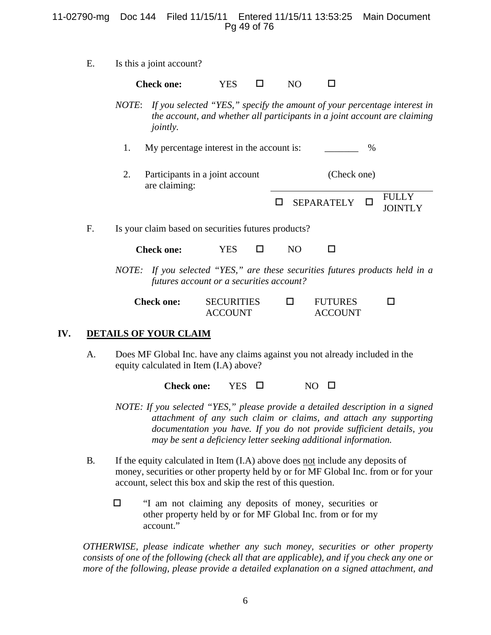## 11-02790-mg Doc 144 Filed 11/15/11 Entered 11/15/11 13:53:25 Main Document Pg 49 of 76

E. Is this a joint account?

Check one: **YES** □ NO □

- *NOTE*: *If you selected "YES," specify the amount of your percentage interest in the account, and whether all participants in a joint account are claiming jointly.* 
	- 1. My percentage interest in the account is:  $\frac{1}{2}$  %
	- 2. Participants in a joint account are claiming: (Check one)
		- $\Box$  SEPARATELY  $\Box$  FULLY **JOINTLY**
- F. Is your claim based on securities futures products?

| <b>Check one:</b> | YES |  | NΟ |  |
|-------------------|-----|--|----|--|
|-------------------|-----|--|----|--|

*NOTE: If you selected "YES," are these securities futures products held in a futures account or a securities account?* 

| <b>Check one:</b> | <b>SECURITIES</b> | <b>FUTURES</b> |  |
|-------------------|-------------------|----------------|--|
|                   | <b>ACCOUNT</b>    | <b>ACCOUNT</b> |  |

## **IV. DETAILS OF YOUR CLAIM**

A. Does MF Global Inc. have any claims against you not already included in the equity calculated in Item (I.A) above?

Check one: YES □ NO □

- *NOTE: If you selected "YES," please provide a detailed description in a signed attachment of any such claim or claims, and attach any supporting documentation you have. If you do not provide sufficient details, you may be sent a deficiency letter seeking additional information.*
- B*.* If the equity calculated in Item (I.A) above does not include any deposits of money, securities or other property held by or for MF Global Inc. from or for your account, select this box and skip the rest of this question.
	- $\Box$  "I am not claiming any deposits of money, securities or other property held by or for MF Global Inc. from or for my account."

*OTHERWISE, please indicate whether any such money, securities or other property consists of one of the following (check all that are applicable), and if you check any one or more of the following, please provide a detailed explanation on a signed attachment, and*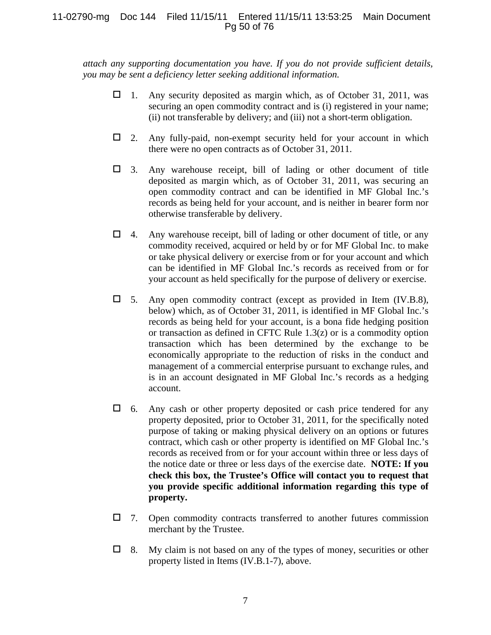## 11-02790-mg Doc 144 Filed 11/15/11 Entered 11/15/11 13:53:25 Main Document Pg 50 of 76

*attach any supporting documentation you have. If you do not provide sufficient details, you may be sent a deficiency letter seeking additional information.* 

- $\Box$  1. Any security deposited as margin which, as of October 31, 2011, was securing an open commodity contract and is (i) registered in your name; (ii) not transferable by delivery; and (iii) not a short-term obligation.
- $\Box$  2. Any fully-paid, non-exempt security held for your account in which there were no open contracts as of October 31, 2011.
- $\Box$  3. Any warehouse receipt, bill of lading or other document of title deposited as margin which, as of October 31, 2011, was securing an open commodity contract and can be identified in MF Global Inc.'s records as being held for your account, and is neither in bearer form nor otherwise transferable by delivery.
- $\Box$  4. Any warehouse receipt, bill of lading or other document of title, or any commodity received, acquired or held by or for MF Global Inc. to make or take physical delivery or exercise from or for your account and which can be identified in MF Global Inc.'s records as received from or for your account as held specifically for the purpose of delivery or exercise.
- $\Box$  5. Any open commodity contract (except as provided in Item (IV.B.8), below) which, as of October 31, 2011, is identified in MF Global Inc.'s records as being held for your account, is a bona fide hedging position or transaction as defined in CFTC Rule 1.3(z) or is a commodity option transaction which has been determined by the exchange to be economically appropriate to the reduction of risks in the conduct and management of a commercial enterprise pursuant to exchange rules, and is in an account designated in MF Global Inc.'s records as a hedging account.
- $\Box$  6. Any cash or other property deposited or cash price tendered for any property deposited, prior to October 31, 2011, for the specifically noted purpose of taking or making physical delivery on an options or futures contract, which cash or other property is identified on MF Global Inc.'s records as received from or for your account within three or less days of the notice date or three or less days of the exercise date. **NOTE: If you check this box, the Trustee's Office will contact you to request that you provide specific additional information regarding this type of property.**
- $\Box$  7. Open commodity contracts transferred to another futures commission merchant by the Trustee.
- $\Box$  8. My claim is not based on any of the types of money, securities or other property listed in Items (IV.B.1-7), above.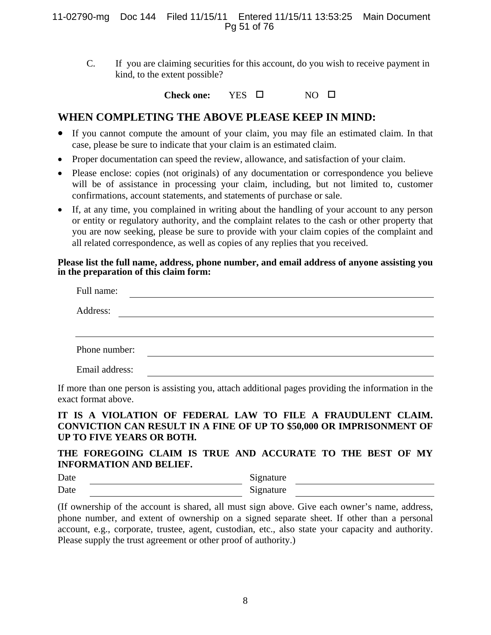## 11-02790-mg Doc 144 Filed 11/15/11 Entered 11/15/11 13:53:25 Main Document Pg 51 of 76

C. If you are claiming securities for this account, do you wish to receive payment in kind, to the extent possible?

**Check one:** YES  $\square$  NO  $\square$ 

## **WHEN COMPLETING THE ABOVE PLEASE KEEP IN MIND:**

- If you cannot compute the amount of your claim, you may file an estimated claim. In that case, please be sure to indicate that your claim is an estimated claim.
- Proper documentation can speed the review, allowance, and satisfaction of your claim.
- Please enclose: copies (not originals) of any documentation or correspondence you believe will be of assistance in processing your claim, including, but not limited to, customer confirmations, account statements, and statements of purchase or sale.
- If, at any time, you complained in writing about the handling of your account to any person or entity or regulatory authority, and the complaint relates to the cash or other property that you are now seeking, please be sure to provide with your claim copies of the complaint and all related correspondence, as well as copies of any replies that you received.

## **Please list the full name, address, phone number, and email address of anyone assisting you in the preparation of this claim form:**

| Full name:     |  |  |
|----------------|--|--|
| Address:       |  |  |
|                |  |  |
| Phone number:  |  |  |
| Email address: |  |  |

If more than one person is assisting you, attach additional pages providing the information in the exact format above.

## **IT IS A VIOLATION OF FEDERAL LAW TO FILE A FRAUDULENT CLAIM. CONVICTION CAN RESULT IN A FINE OF UP TO \$50,000 OR IMPRISONMENT OF UP TO FIVE YEARS OR BOTH.**

## **THE FOREGOING CLAIM IS TRUE AND ACCURATE TO THE BEST OF MY INFORMATION AND BELIEF.**

Date Signature Date Signature

(If ownership of the account is shared, all must sign above. Give each owner's name, address, phone number, and extent of ownership on a signed separate sheet. If other than a personal account, e.g., corporate, trustee, agent, custodian, etc., also state your capacity and authority. Please supply the trust agreement or other proof of authority.)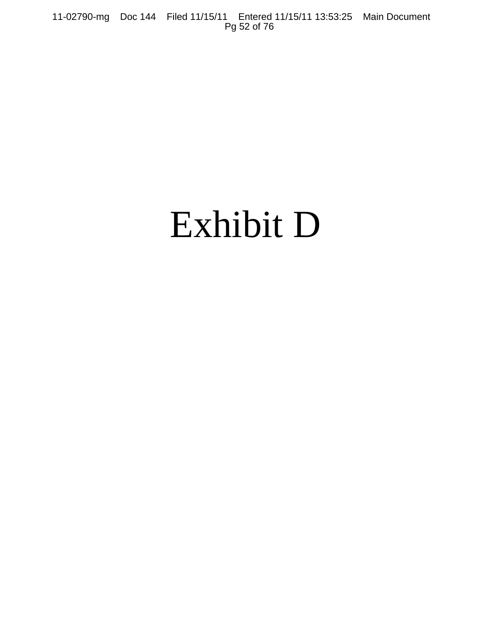11-02790-mg Doc 144 Filed 11/15/11 Entered 11/15/11 13:53:25 Main Document Pg 52 of 76

# Exhibit D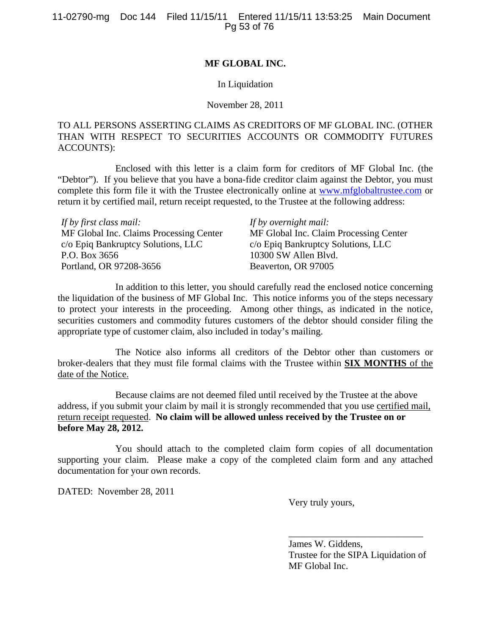## **MF GLOBAL INC.**

## In Liquidation

### November 28, 2011

## TO ALL PERSONS ASSERTING CLAIMS AS CREDITORS OF MF GLOBAL INC. (OTHER THAN WITH RESPECT TO SECURITIES ACCOUNTS OR COMMODITY FUTURES ACCOUNTS):

Enclosed with this letter is a claim form for creditors of MF Global Inc. (the "Debtor"). If you believe that you have a bona-fide creditor claim against the Debtor, you must complete this form file it with the Trustee electronically online at www.mfglobaltrustee.com or return it by certified mail, return receipt requested, to the Trustee at the following address:

| If by first class mail:                 | If by overnight mail:                  |
|-----------------------------------------|----------------------------------------|
| MF Global Inc. Claims Processing Center | MF Global Inc. Claim Processing Center |
| c/o Epiq Bankruptcy Solutions, LLC      | c/o Epiq Bankruptcy Solutions, LLC     |
| P.O. Box 3656                           | 10300 SW Allen Blvd.                   |
| Portland, OR 97208-3656                 | Beaverton, OR 97005                    |

In addition to this letter, you should carefully read the enclosed notice concerning the liquidation of the business of MF Global Inc. This notice informs you of the steps necessary to protect your interests in the proceeding. Among other things, as indicated in the notice, securities customers and commodity futures customers of the debtor should consider filing the appropriate type of customer claim, also included in today's mailing.

The Notice also informs all creditors of the Debtor other than customers or broker-dealers that they must file formal claims with the Trustee within **SIX MONTHS** of the date of the Notice.

Because claims are not deemed filed until received by the Trustee at the above address, if you submit your claim by mail it is strongly recommended that you use certified mail, return receipt requested. **No claim will be allowed unless received by the Trustee on or before May 28, 2012.**

You should attach to the completed claim form copies of all documentation supporting your claim. Please make a copy of the completed claim form and any attached documentation for your own records.

DATED: November 28, 2011

Very truly yours,

James W. Giddens, Trustee for the SIPA Liquidation of MF Global Inc.

\_\_\_\_\_\_\_\_\_\_\_\_\_\_\_\_\_\_\_\_\_\_\_\_\_\_\_\_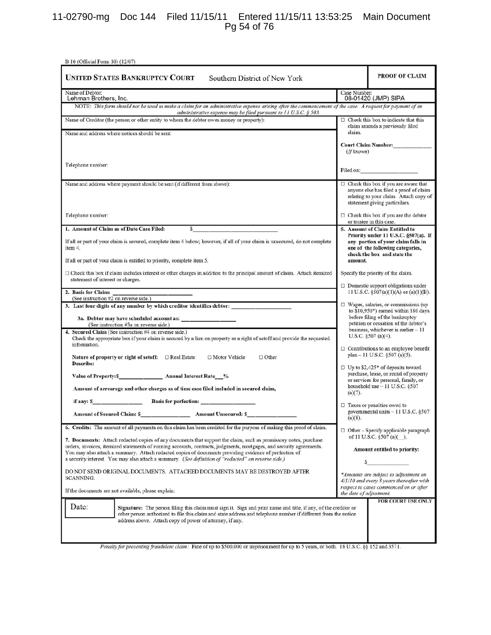## 11-02790-mg Doc 144 Filed 11/15/11 Entered 11/15/11 13:53:25 Main Document Pg 54 of 76

| B 10 (Official Form 10) (12/07)                                                                                                                                                                                                                                                                                                                    |                         |                                                                                                                                                                                                                               |
|----------------------------------------------------------------------------------------------------------------------------------------------------------------------------------------------------------------------------------------------------------------------------------------------------------------------------------------------------|-------------------------|-------------------------------------------------------------------------------------------------------------------------------------------------------------------------------------------------------------------------------|
| <b>UNITED STATES BANKRUPTCY COURT</b><br>Southern District of New York                                                                                                                                                                                                                                                                             |                         | PROOF OF CLAIM                                                                                                                                                                                                                |
| Name of Debtor:<br>Lehman Brothers, Inc.                                                                                                                                                                                                                                                                                                           | Case Number:            | 08-01420 (JMP) SIPA                                                                                                                                                                                                           |
| NOTE: This form should not be used to make a claim for an administrative expense arising after the commencement of the case. A request for payment of an<br>administrative expense may be filed pursuant to $11$ U.S.C. § 503.                                                                                                                     |                         |                                                                                                                                                                                                                               |
| Name of Creditor (the person or other entity to whom the debtor owes money or property):                                                                                                                                                                                                                                                           |                         | $\Box$ Check this box to indicate that this<br>claim amends a previously filed                                                                                                                                                |
| Name and address where notices should be sent:                                                                                                                                                                                                                                                                                                     | claim.                  |                                                                                                                                                                                                                               |
|                                                                                                                                                                                                                                                                                                                                                    | (If known)              | Court Claim Number:__________                                                                                                                                                                                                 |
| Telephone number:                                                                                                                                                                                                                                                                                                                                  |                         | Filed on: The contract of the contract of the contract of the contract of the contract of the contract of the contract of the contract of the contract of the contract of the contract of the contract of the contract of the |
| Name and address where payment should be sent (if different from above):                                                                                                                                                                                                                                                                           |                         | $\Box$ Check this box if you are aware that<br>anyone else has filed a proof of claim<br>relating to your claim. Attach copy of<br>statement giving particulars.                                                              |
| Telephone number:                                                                                                                                                                                                                                                                                                                                  |                         | $\Box$ Check this box if you are the debtor<br>or trustee in this case.                                                                                                                                                       |
| 1. Amount of Claim as of Date Case Filed:<br>s                                                                                                                                                                                                                                                                                                     |                         | 5. Amount of Claim Entitled to                                                                                                                                                                                                |
| If all or part of your claim is secured, complete item 4 below; however, if all of your claim is unsecured, do not complete<br>item 4.                                                                                                                                                                                                             |                         | Priority under 11 U.S.C. §507(a). If<br>any portion of your claim falls in<br>one of the following categories,<br>check the box and state the                                                                                 |
| If all or part of your claim is entitled to priority, complete item 5.                                                                                                                                                                                                                                                                             | amount.                 |                                                                                                                                                                                                                               |
| $\Box$ Check this box if claim includes interest or other charges in addition to the principal amount of claim. Attach itemized<br>statement of interest or charges.                                                                                                                                                                               |                         | Specify the priority of the claim.                                                                                                                                                                                            |
| 2. Basis for Claim:                                                                                                                                                                                                                                                                                                                                |                         | $\Box$ Domestic support obligations under<br>11 U.S.C. $\S507(a)(1)(A)$ or $(a)(1)(B)$ .                                                                                                                                      |
| (See instruction #2 on reverse side.)<br>3. Last four digits of any number by which creditor identifies debtor:                                                                                                                                                                                                                                    |                         | $\Box$ Wages, salaries, or commissions (up                                                                                                                                                                                    |
| (See instruction #3a on reverse side.)                                                                                                                                                                                                                                                                                                             |                         | to \$10,950*) earned within 180 days<br>before filing of the bankruptcy<br>petition or cessation of the debtor's                                                                                                              |
| 4. Secured Claim (See instruction #4 on reverse side.)<br>Check the appropriate box if your claim is secured by a lien on property or a right of set off and provide the requested<br>information.                                                                                                                                                 |                         | business, whichever is earlier - 11<br>U.S.C. $$507$ (a)(4).<br>$\Box$ Contributions to an employee benefit                                                                                                                   |
| Nature of property or right of setoff: □ Real Estate<br>$\Box$ Motor Vehicle<br>$\Box$ Other<br>Describe:                                                                                                                                                                                                                                          |                         | plan - 11 U.S.C. §507 (a)(5).<br>□ Up to \$2,425* of deposits toward                                                                                                                                                          |
| Value of Property: S________________________ Annual Interest Rate___%                                                                                                                                                                                                                                                                              |                         | purchase, lease, or rental of property<br>or services for personal, family, or                                                                                                                                                |
| Amount of arrearage and other charges as of time case filed included in secured claim,                                                                                                                                                                                                                                                             | (a)(7).                 | household use $-11$ U.S.C. §507                                                                                                                                                                                               |
| if any: \$ Basis for perfection:                                                                                                                                                                                                                                                                                                                   |                         | $\Box$ Taxes or penalties owed to                                                                                                                                                                                             |
| <b>Amount of Secured Claim: \$</b><br><b>Amount Unsecured: S</b>                                                                                                                                                                                                                                                                                   | $(a)(8)$ .              | governmental units - 11 U.S.C. §507                                                                                                                                                                                           |
| 6. Credits: The amount of all payments on this claim has been credited for the purpose of making this proof of claim.                                                                                                                                                                                                                              |                         | $\Box$ Other – Specify applicable paragraph                                                                                                                                                                                   |
| 7. Documents: Attach redacted copies of any documents that support the claim, such as promissory notes, purchase<br>orders, invoices, itemized statements of running accounts, contracts, judgments, mortgages, and security agreements.<br>You may also attach a summary. Attach redacted copies of documents providing evidence of perfection of |                         | of 11 U.S.C. $\S507(a)$ .<br>Amount entitled to priority:                                                                                                                                                                     |
| a security interest. You may also attach a summary. (See definition of "redacted" on reverse side.)                                                                                                                                                                                                                                                |                         |                                                                                                                                                                                                                               |
| DO NOT SEND ORIGINAL DOCUMENTS. ATTACHED DOCUMENTS MAY BE DESTROYED AFTER<br>SCANNING.                                                                                                                                                                                                                                                             |                         | *Amounts are subject to adjustment on<br>4/1/10 and every 3 years thereafter with                                                                                                                                             |
| If the documents are not available, please explain:                                                                                                                                                                                                                                                                                                | the date of adjustment. | respect to cases commenced on or after                                                                                                                                                                                        |
| Date:<br>Signature: The person filing this claim must sign it. Sign and print name and title, if any, of the creditor or<br>other person authorized to file this claim and state address and telephone number if different from the notice<br>address above. Attach copy of power of attorney, if any.                                             |                         | FOR COURT USE ONLY                                                                                                                                                                                                            |
| Penalty for presenting fraudulent claim: Fine of up to \$500,000 or imprisonment for up to 5 years, or both. 18 U.S.C. §§ 152 and 3571.                                                                                                                                                                                                            |                         |                                                                                                                                                                                                                               |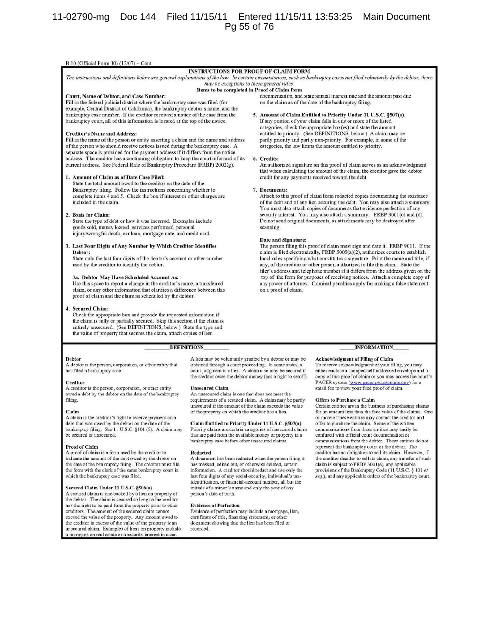## 11-02790-mg Doc 144 Filed 11/15/11 Entered 11/15/11 13:53:25 Main Document Pg 55 of 76

#### B 10 (Official Form 10) (12/07) - Cont.

#### **INSTRUCTIONS FOR PROOF OF CLAIM FORM**

The instructions and definitions below are general explanations of the law. In certain circumstances, such as bankruptcy cases not filed voluntarily by the debtor, there may be exceptions to these general rules. Items to be completed in Proof of Claim form

#### Court, Name of Debtor, and Case Number:

Fill in the federal judicial district where the bankruptcy case was filed (for example, Central District of California), the bankruptcy debtor's name, and the bankruptcy case number. If the creditor received a notice of the case from the bankruptcy court, all of this information is located at the top of the notice.

#### **Creditor's Name and Address:**

Fill in the name of the person or entity asserting a claim and the name and address of the person who should receive notices issued during the bankruptcy case. A separate space is provided for the payment address if it differs from the notice address. The creditor has a continuing obligation to keep the court informed of its current address. See Federal Rule of Bankruptcy Procedure (FRBP) 2002(g).

#### 1. Amount of Claim as of Date Case Filed:

State the total amount owed to the creditor on the date of the Bankruptcy filing. Follow the instructions concerning whether to complete items 4 and 5. Check the box if interest or other charges are included in the claim.

#### 2. Basis for Claim:

State the type of debt or how it was incurred. Examples include goods sold, money loaned, services performed, personal injury/wrongful death, car loan, mortgage note, and credit card.

#### 3. Last Four Digits of Any Number by Which Creditor Identifies Debtor:

State only the last four digits of the debtor's account or other number used by the creditor to identify the debtor.

#### 3a. Debtor May Have Scheduled Account As:

Use this space to report a change in the creditor's name, a transferred claim, or any other information that clarifies a difference between this proof of claim and the claim as scheduled by the debtor.

#### 4. **Secured Claim:**

Check the appropriate box and provide the requested information if the claim is fully or partially secured. Skip this section if the claim is entirely unsecured. (See DEFINITIONS, below.) State the type and the value of property that secures the claim, attach copies of lien

#### **DEFINITIONS**

#### Debtor

A debtor is the person, corporation, or other entity that has filed a bankruptcy case.

#### Creditor

A creditor is the person, corporation, or other entity owed a debt by the debtor on the date of the bankruptcy filing.

#### Claim

A claim is the creditor's right to receive payment on a debt that was owed by the debtor on the date of the bankruptcy filing. See 11 U.S.C. §101 (5). A claim may be secured or unsecured.

#### **Proof of Claim**

A proof of claim is a form used by the creditor to indicate the amount of the debt owed by the debtor on<br>the date of the bankruptcy filing. The creditor must file the form with the clerk of the same bankruptcy court in which the bankruptcy case was filed.

#### Secured Claim Under 11 U.S.C. §506(a)

A secured claim is one backed by a lien on property of the debtor. The claim is secured so long as the creditor has the right to be paid from the property prior to other creditors. The amount of the secured claim cannot exceed the value of the property. Any amount owed to the creditor in excess of the value of the property is an unsecured claim. Examples of liens on property include a mortgage on real estate or a security interest in a car

A lien may be voluntarily granted by a debtor or may be obtained through a court proceeding. In some states, a court judgment is a lien. A claim also may be secured if the creditor owes the debtor money (has a right to setoff).

#### **Unsecured Claim**

An unsecured claim is one that does not meet the requirements of a secured claim. A claim may be partly unsecured if the amount of the claim exceeds the value of the property on which the creditor has a lien.

Claim Entitled to Priority Under 11 U.S.C. §507(a) Priority claims are certain categories of unsecured claims<br>that are paid from the available money or property in a bankruptcy case before other unsecured claims.

#### **Redacted**

A document has been redacted when the person filing it has masked, edited out, or otherwise deleted, certain information. A creditor should redact and use only the last four digits of any social-security, individual's taxidentification, or financial-account number, all but the initials of a minor's name and only the year of any person's date of birth.

#### **Evidence of Perfection**

Evidence of perfection may include a mortgage, lien, certificate of title, financing statement, or other document showing that the lien has been filed or recorded.

#### documentation, and state annual interest rate and the amount past due on the claim as of the date of the bankruptcy filing.

5. Amount of Claim Entitled to Priority Under 11 U.S.C. §507(a). If any portion of your claim falls in one or more of the listed categories, check the appropriate box(es) and state the amount entitled to priority. (See DEFINITIONS, below.) A claim may be partly priority and partly non-priority. For example, in some of the categories, the law limits the amount entitled to priority.

#### 6. Credits:

An authorized signature on this proof of claim serves as an acknowledgment that when calculating the amount of the claim, the creditor gave the debtor credit for any payments received toward the debt.

#### 7. Documents:

Attach to this proof of claim form redacted copies documenting the existence of the debt and of any lien securing the debt. You may also attach a summary. You must also attach copies of documents that evidence perfection of any security interest. You may also attach a summary. FRBP 3001(c) and (d). Do not send original documents, as attachments may be destroyed after scanning.

#### Date and Signature:

The person filing this proof of claim must sign and date it. FRBP 9011. If the claim is filed electronically, FRBP 5005(a)(2), authorizes courts to establish local rules specifying what constitutes a signature. Print the name and title, if any, of the creditor or other person authorized to file this claim. State the filer's address and telephone number if it differs from the address given on the top of the form for purposes of receiving notices. Attach a complete copy of any power of attorney. Criminal penalties apply for making a false statement on a proof of claim.

## **INFORMATION**

#### Acknowledgment of Filing of Claim

To receive acknowledgment of your filing, you may either enclose a stamped self-addressed envelope and a copy of this proof of claim or you may access the court's PACER system (www.pacer.psc.uscourts.gov) for a<br>small fee to view your filed proof of claim.

#### **Offers to Purchase a Claim**

Certain entities are in the business of purchasing claims for an amount less than the face value of the claims. One or more of these entities may contact the creditor and offer to purchase the claim. Some of the written communications from these entities may easily be confused with official court documentation or communications from the debtor. These entities do not represent the bankruptcy court or the debtor. The creditor has no obligation to sell its claim. However, if the creditor decides to sell its claim, any transfer of such claim is subject to FRBP 3001(e), any applicable provisions of the Bankruptcy Code (11 U.S.C. § 101 et seq.), and any applicable orders of the bankruptcy court.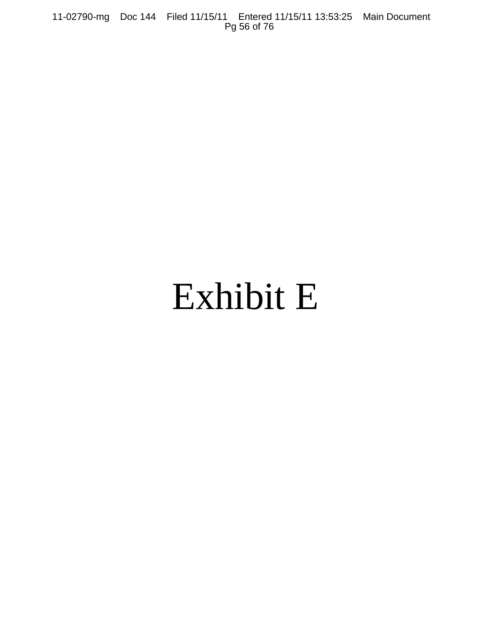11-02790-mg Doc 144 Filed 11/15/11 Entered 11/15/11 13:53:25 Main Document Pg 56 of 76

# Exhibit E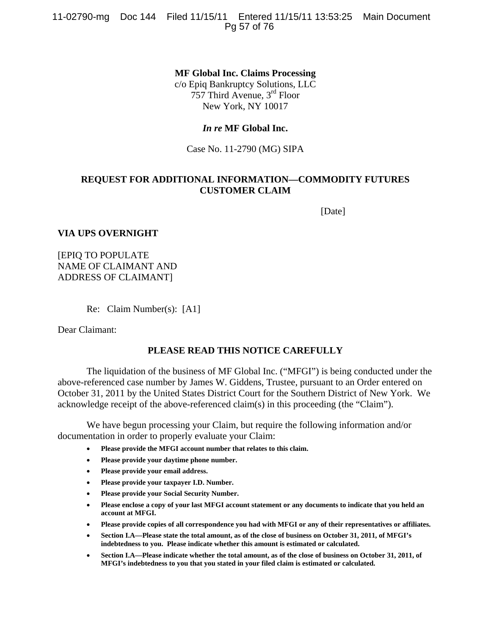11-02790-mg Doc 144 Filed 11/15/11 Entered 11/15/11 13:53:25 Main Document Pg 57 of 76

> **MF Global Inc. Claims Processing**  c/o Epiq Bankruptcy Solutions, LLC 757 Third Avenue, 3rd Floor

New York, NY 10017

## *In re* **MF Global Inc.**

Case No. 11-2790 (MG) SIPA

## **REQUEST FOR ADDITIONAL INFORMATION—COMMODITY FUTURES CUSTOMER CLAIM**

[Date]

## **VIA UPS OVERNIGHT**

[EPIQ TO POPULATE NAME OF CLAIMANT AND ADDRESS OF CLAIMANT]

Re: Claim Number(s): [A1]

Dear Claimant:

## **PLEASE READ THIS NOTICE CAREFULLY**

The liquidation of the business of MF Global Inc. ("MFGI") is being conducted under the above-referenced case number by James W. Giddens, Trustee, pursuant to an Order entered on October 31, 2011 by the United States District Court for the Southern District of New York. We acknowledge receipt of the above-referenced claim(s) in this proceeding (the "Claim").

We have begun processing your Claim, but require the following information and/or documentation in order to properly evaluate your Claim:

- **Please provide the MFGI account number that relates to this claim.**
- **Please provide your daytime phone number.**
- **Please provide your email address.**
- **Please provide your taxpayer I.D. Number.**
- **Please provide your Social Security Number.**
- **Please enclose a copy of your last MFGI account statement or any documents to indicate that you held an account at MFGI.**
- **Please provide copies of all correspondence you had with MFGI or any of their representatives or affiliates.**
- **Section I.A—Please state the total amount, as of the close of business on October 31, 2011, of MFGI's indebtedness to you. Please indicate whether this amount is estimated or calculated.**
- **Section I.A—Please indicate whether the total amount, as of the close of business on October 31, 2011, of MFGI's indebtedness to you that you stated in your filed claim is estimated or calculated.**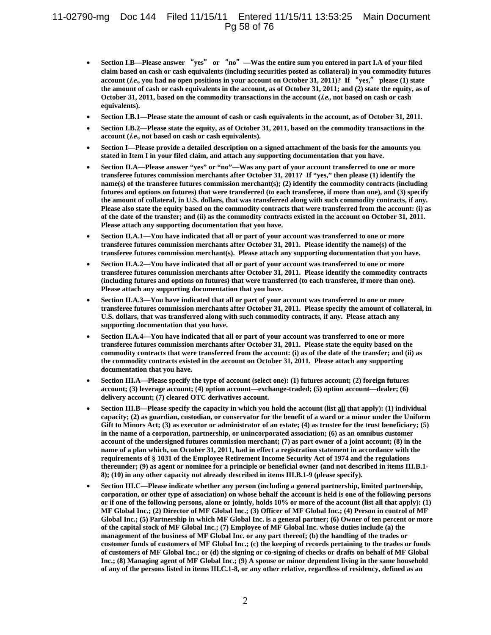## 11-02790-mg Doc 144 Filed 11/15/11 Entered 11/15/11 13:53:25 Main Document Pg 58 of 76

- **Section I.B—Please answer** "**yes**" **or** "**no**"**—Was the entire sum you entered in part I.A of your filed claim based on cash or cash equivalents (including securities posted as collateral) in you commodity futures account (i.e., you had no open positions in your account on October 31, 2011)? If** "**yes,**" **please (1) state the amount of cash or cash equivalents in the account, as of October 31, 2011; and (2) state the equity, as of October 31, 2011, based on the commodity transactions in the account (i.e., not based on cash or cash equivalents).**
- **Section I.B.1—Please state the amount of cash or cash equivalents in the account, as of October 31, 2011.**
- **Section I.B.2—Please state the equity, as of October 31, 2011, based on the commodity transactions in the account (i.e., not based on cash or cash equivalents).**
- **Section I—Please provide a detailed description on a signed attachment of the basis for the amounts you stated in Item I in your filed claim, and attach any supporting documentation that you have.**
- **Section II.A—Please answer "yes" or "no"—Was any part of your account transferred to one or more transferee futures commission merchants after October 31, 2011? If "yes," then please (1) identify the name(s) of the transferee futures commission merchant(s); (2) identify the commodity contracts (including futures and options on futures) that were transferred (to each transferee, if more than one), and (3) specify the amount of collateral, in U.S. dollars, that was transferred along with such commodity contracts, if any. Please also state the equity based on the commodity contracts that were transferred from the account: (i) as of the date of the transfer; and (ii) as the commodity contracts existed in the account on October 31, 2011. Please attach any supporting documentation that you have.**
- **Section II.A.1—You have indicated that all or part of your account was transferred to one or more transferee futures commission merchants after October 31, 2011. Please identify the name(s) of the transferee futures commission merchant(s). Please attach any supporting documentation that you have.**
- **Section II.A.2—You have indicated that all or part of your account was transferred to one or more transferee futures commission merchants after October 31, 2011. Please identify the commodity contracts (including futures and options on futures) that were transferred (to each transferee, if more than one). Please attach any supporting documentation that you have.**
- **Section II.A.3—You have indicated that all or part of your account was transferred to one or more transferee futures commission merchants after October 31, 2011. Please specify the amount of collateral, in U.S. dollars, that was transferred along with such commodity contracts, if any. Please attach any supporting documentation that you have.**
- **Section II.A.4—You have indicated that all or part of your account was transferred to one or more transferee futures commission merchants after October 31, 2011. Please state the equity based on the commodity contracts that were transferred from the account: (i) as of the date of the transfer; and (ii) as the commodity contracts existed in the account on October 31, 2011. Please attach any supporting documentation that you have.**
- **Section III.A—Please specify the type of account (select one): (1) futures account; (2) foreign futures account; (3) leverage account; (4) option account—exchange-traded; (5) option account—dealer; (6) delivery account; (7) cleared OTC derivatives account.**
- **Section III.B—Please specify the capacity in which you hold the account (list all that apply): (1) individual capacity; (2) as guardian, custodian, or conservator for the benefit of a ward or a minor under the Uniform Gift to Minors Act; (3) as executor or administrator of an estate; (4) as trustee for the trust beneficiary; (5) in the name of a corporation, partnership, or unincorporated association; (6) as an omnibus customer account of the undersigned futures commission merchant; (7) as part owner of a joint account; (8) in the name of a plan which, on October 31, 2011, had in effect a registration statement in accordance with the requirements of § 1031 of the Employee Retirement Income Security Act of 1974 and the regulations thereunder; (9) as agent or nominee for a principle or beneficial owner (and not described in items III.B.1- 8); (10) in any other capacity not already described in items III.B.1-9 (please specify).**
- **Section III.C—Please indicate whether any person (including a general partnership, limited partnership, corporation, or other type of association) on whose behalf the account is held is one of the following persons or if one of the following persons, alone or jointly, holds 10% or more of the account (list all that apply): (1) MF Global Inc.; (2) Director of MF Global Inc.; (3) Officer of MF Global Inc.; (4) Person in control of MF Global Inc.; (5) Partnership in which MF Global Inc. is a general partner; (6) Owner of ten percent or more of the capital stock of MF Global Inc.; (7) Employee of MF Global Inc. whose duties include (a) the management of the business of MF Global Inc. or any part thereof; (b) the handling of the trades or customer funds of customers of MF Global Inc.; (c) the keeping of records pertaining to the trades or funds of customers of MF Global Inc.; or (d) the signing or co-signing of checks or drafts on behalf of MF Global Inc.; (8) Managing agent of MF Global Inc.; (9) A spouse or minor dependent living in the same household of any of the persons listed in items III.C.1-8, or any other relative, regardless of residency, defined as an**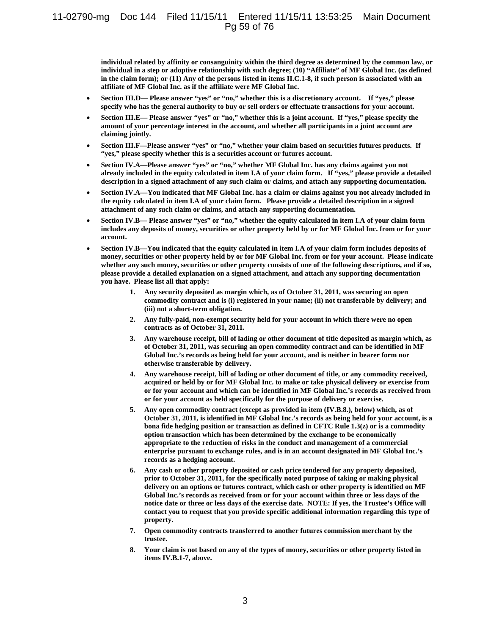## 11-02790-mg Doc 144 Filed 11/15/11 Entered 11/15/11 13:53:25 Main Document Pg 59 of 76

**individual related by affinity or consanguinity within the third degree as determined by the common law, or individual in a step or adoptive relationship with such degree; (10) "Affiliate" of MF Global Inc. (as defined in the claim form); or (11) Any of the persons listed in items II.C.1-8, if such person is associated with an affiliate of MF Global Inc. as if the affiliate were MF Global Inc.** 

- **Section III.D— Please answer "yes" or "no," whether this is a discretionary account. If "yes," please specify who has the general authority to buy or sell orders or effectuate transactions for your account.**
- **Section III.E— Please answer "yes" or "no," whether this is a joint account. If "yes," please specify the amount of your percentage interest in the account, and whether all participants in a joint account are claiming jointly.**
- **Section III.F—Please answer "yes" or "no," whether your claim based on securities futures products. If "yes," please specify whether this is a securities account or futures account.**
- **Section IV.A—Please answer "yes" or "no," whether MF Global Inc. has any claims against you not already included in the equity calculated in item I.A of your claim form. If "yes," please provide a detailed description in a signed attachment of any such claim or claims, and attach any supporting documentation.**
- **Section IV.A—You indicated that MF Global Inc. has a claim or claims against you not already included in the equity calculated in item I.A of your claim form. Please provide a detailed description in a signed attachment of any such claim or claims, and attach any supporting documentation.**
- **Section IV.B— Please answer "yes" or "no," whether the equity calculated in item I.A of your claim form includes any deposits of money, securities or other property held by or for MF Global Inc. from or for your account.**
- **Section IV.B—You indicated that the equity calculated in item I.A of your claim form includes deposits of money, securities or other property held by or for MF Global Inc. from or for your account. Please indicate whether any such money, securities or other property consists of one of the following descriptions, and if so, please provide a detailed explanation on a signed attachment, and attach any supporting documentation you have. Please list all that apply:** 
	- **1. Any security deposited as margin which, as of October 31, 2011, was securing an open commodity contract and is (i) registered in your name; (ii) not transferable by delivery; and (iii) not a short-term obligation.**
	- **2. Any fully-paid, non-exempt security held for your account in which there were no open contracts as of October 31, 2011.**
	- **3. Any warehouse receipt, bill of lading or other document of title deposited as margin which, as of October 31, 2011, was securing an open commodity contract and can be identified in MF Global Inc.'s records as being held for your account, and is neither in bearer form nor otherwise transferable by delivery.**
	- **4. Any warehouse receipt, bill of lading or other document of title, or any commodity received, acquired or held by or for MF Global Inc. to make or take physical delivery or exercise from or for your account and which can be identified in MF Global Inc.'s records as received from or for your account as held specifically for the purpose of delivery or exercise.**
	- **5. Any open commodity contract (except as provided in item (IV.B.8.), below) which, as of October 31, 2011, is identified in MF Global Inc.'s records as being held for your account, is a bona fide hedging position or transaction as defined in CFTC Rule 1.3(z) or is a commodity option transaction which has been determined by the exchange to be economically appropriate to the reduction of risks in the conduct and management of a commercial enterprise pursuant to exchange rules, and is in an account designated in MF Global Inc.'s records as a hedging account.**
	- **6. Any cash or other property deposited or cash price tendered for any property deposited, prior to October 31, 2011, for the specifically noted purpose of taking or making physical delivery on an options or futures contract, which cash or other property is identified on MF Global Inc.'s records as received from or for your account within three or less days of the notice date or three or less days of the exercise date. NOTE: If yes, the Trustee's Office will contact you to request that you provide specific additional information regarding this type of property.**
	- **7. Open commodity contracts transferred to another futures commission merchant by the trustee.**
	- **8. Your claim is not based on any of the types of money, securities or other property listed in items IV.B.1-7, above.**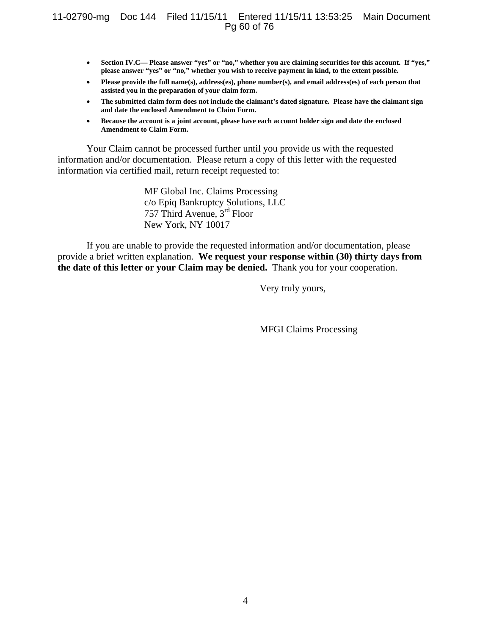## 11-02790-mg Doc 144 Filed 11/15/11 Entered 11/15/11 13:53:25 Main Document Pg 60 of 76

- **Section IV.C— Please answer "yes" or "no," whether you are claiming securities for this account. If "yes," please answer "yes" or "no," whether you wish to receive payment in kind, to the extent possible.**
- **Please provide the full name(s), address(es), phone number(s), and email address(es) of each person that assisted you in the preparation of your claim form.**
- **The submitted claim form does not include the claimant's dated signature. Please have the claimant sign and date the enclosed Amendment to Claim Form.**
- **Because the account is a joint account, please have each account holder sign and date the enclosed Amendment to Claim Form.**

Your Claim cannot be processed further until you provide us with the requested information and/or documentation. Please return a copy of this letter with the requested information via certified mail, return receipt requested to:

> MF Global Inc. Claims Processing c/o Epiq Bankruptcy Solutions, LLC 757 Third Avenue, 3rd Floor New York, NY 10017

If you are unable to provide the requested information and/or documentation, please provide a brief written explanation. **We request your response within (30) thirty days from the date of this letter or your Claim may be denied.** Thank you for your cooperation.

Very truly yours,

MFGI Claims Processing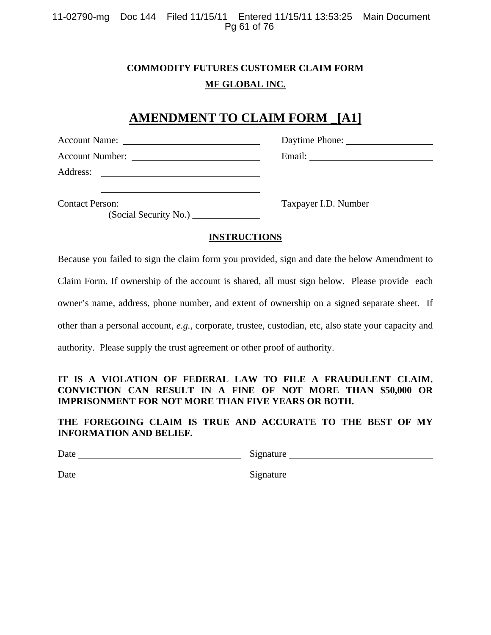11-02790-mg Doc 144 Filed 11/15/11 Entered 11/15/11 13:53:25 Main Document Pg 61 of 76

## **COMMODITY FUTURES CUSTOMER CLAIM FORM MF GLOBAL INC.**

# **AMENDMENT TO CLAIM FORM \_[A1]**

|                                                                                                                        | Daytime Phone:       |  |
|------------------------------------------------------------------------------------------------------------------------|----------------------|--|
|                                                                                                                        |                      |  |
| Address:<br><u> 1989 - Jan Samuel Barbara, margaret e</u>                                                              |                      |  |
| <b>Contact Person:</b><br><u> 1989 - Andrea Station Barbara, amerikan per</u><br>(Social Security No.) _______________ | Taxpayer I.D. Number |  |

## **INSTRUCTIONS**

Because you failed to sign the claim form you provided, sign and date the below Amendment to

Claim Form. If ownership of the account is shared, all must sign below. Please provide each

owner's name, address, phone number, and extent of ownership on a signed separate sheet. If

other than a personal account, *e.g.*, corporate, trustee, custodian, etc, also state your capacity and

authority. Please supply the trust agreement or other proof of authority.

## **IT IS A VIOLATION OF FEDERAL LAW TO FILE A FRAUDULENT CLAIM. CONVICTION CAN RESULT IN A FINE OF NOT MORE THAN \$50,000 OR IMPRISONMENT FOR NOT MORE THAN FIVE YEARS OR BOTH.**

**THE FOREGOING CLAIM IS TRUE AND ACCURATE TO THE BEST OF MY INFORMATION AND BELIEF.** 

| Date                  | Signature |
|-----------------------|-----------|
| $\tilde{\phantom{a}}$ | .         |

Date Signature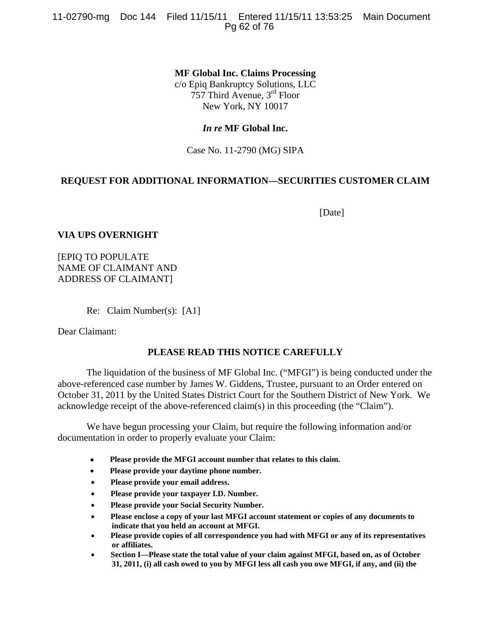11-02790-mg Doc 144 Filed 11/15/11 Entered 11/15/11 13:53:25 Main Document Pg 62 of 76

**MF Global Inc. Claims Processing** 

c/o Epiq Bankruptcy Solutions, LLC 757 Third Avenue, 3rd Floor New York, NY 10017

## *In re* **MF Global Inc.**

Case No. 11-2790 (MG) SIPA

## **REQUEST FOR ADDITIONAL INFORMATION—SECURITIES CUSTOMER CLAIM**

[Date]

## **VIA UPS OVERNIGHT**

[EPIQ TO POPULATE NAME OF CLAIMANT AND ADDRESS OF CLAIMANT]

Re: Claim Number(s): [A1]

Dear Claimant:

## **PLEASE READ THIS NOTICE CAREFULLY**

The liquidation of the business of MF Global Inc. ("MFGI") is being conducted under the above-referenced case number by James W. Giddens, Trustee, pursuant to an Order entered on October 31, 2011 by the United States District Court for the Southern District of New York. We acknowledge receipt of the above-referenced claim(s) in this proceeding (the "Claim").

We have begun processing your Claim, but require the following information and/or documentation in order to properly evaluate your Claim:

- **Please provide the MFGI account number that relates to this claim.**
- **Please provide your daytime phone number.**
- **Please provide your email address.**
- **Please provide your taxpayer I.D. Number.**
- **Please provide your Social Security Number.**
- **Please enclose a copy of your last MFGI account statement or copies of any documents to indicate that you held an account at MFGI.**
- **Please provide copies of all correspondence you had with MFGI or any of its representatives or affiliates.**
- **Section I—Please state the total value of your claim against MFGI, based on, as of October 31, 2011, (i) all cash owed to you by MFGI less all cash you owe MFGI, if any, and (ii) the**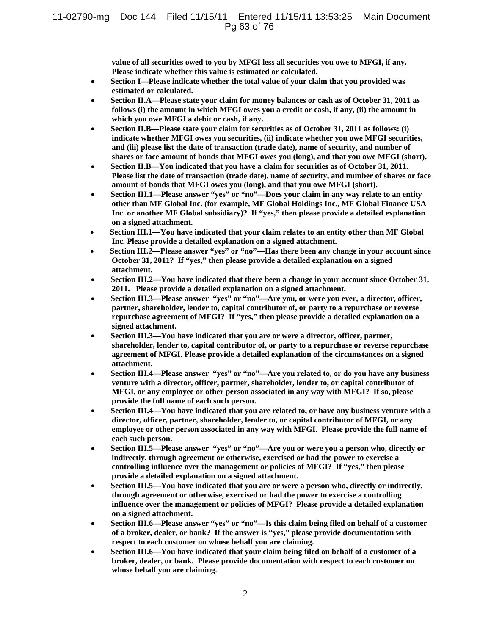**value of all securities owed to you by MFGI less all securities you owe to MFGI, if any. Please indicate whether this value is estimated or calculated.**

- **Section I—Please indicate whether the total value of your claim that you provided was estimated or calculated.**
- **Section II.A—Please state your claim for money balances or cash as of October 31, 2011 as follows (i) the amount in which MFGI owes you a credit or cash, if any, (ii) the amount in which you owe MFGI a debit or cash, if any.**
- **Section II.B—Please state your claim for securities as of October 31, 2011 as follows: (i) indicate whether MFGI owes you securities, (ii) indicate whether you owe MFGI securities, and (iii) please list the date of transaction (trade date), name of security, and number of shares or face amount of bonds that MFGI owes you (long), and that you owe MFGI (short).**
- **Section II.B—You indicated that you have a claim for securities as of October 31, 2011. Please list the date of transaction (trade date), name of security, and number of shares or face amount of bonds that MFGI owes you (long), and that you owe MFGI (short).**
- **Section III.1—Please answer "yes" or "no"—Does your claim in any way relate to an entity other than MF Global Inc. (for example, MF Global Holdings Inc., MF Global Finance USA Inc. or another MF Global subsidiary)? If "yes," then please provide a detailed explanation on a signed attachment.**
- **Section III.1—You have indicated that your claim relates to an entity other than MF Global Inc. Please provide a detailed explanation on a signed attachment.**
- **Section III.2—Please answer "yes" or "no"—Has there been any change in your account since October 31, 2011? If "yes," then please provide a detailed explanation on a signed attachment.**
- **Section III.2—You have indicated that there been a change in your account since October 31, 2011. Please provide a detailed explanation on a signed attachment.**
- **Section III.3—Please answer "yes" or "no"—Are you, or were you ever, a director, officer, partner, shareholder, lender to, capital contributor of, or party to a repurchase or reverse repurchase agreement of MFGI? If "yes," then please provide a detailed explanation on a signed attachment.**
- **Section III.3—You have indicated that you are or were a director, officer, partner, shareholder, lender to, capital contributor of, or party to a repurchase or reverse repurchase agreement of MFGI. Please provide a detailed explanation of the circumstances on a signed attachment.**
- **Section III.4—Please answer "yes" or "no"—Are you related to, or do you have any business venture with a director, officer, partner, shareholder, lender to, or capital contributor of MFGI, or any employee or other person associated in any way with MFGI? If so, please provide the full name of each such person.**
- **Section III.4—You have indicated that you are related to, or have any business venture with a director, officer, partner, shareholder, lender to, or capital contributor of MFGI, or any employee or other person associated in any way with MFGI. Please provide the full name of each such person.**
- **Section III.5—Please answer "yes" or "no"—Are you or were you a person who, directly or indirectly, through agreement or otherwise, exercised or had the power to exercise a controlling influence over the management or policies of MFGI? If "yes," then please provide a detailed explanation on a signed attachment.**
- **Section III.5—You have indicated that you are or were a person who, directly or indirectly, through agreement or otherwise, exercised or had the power to exercise a controlling influence over the management or policies of MFGI? Please provide a detailed explanation on a signed attachment.**
- **Section III.6—Please answer "yes" or "no"—Is this claim being filed on behalf of a customer of a broker, dealer, or bank? If the answer is "yes," please provide documentation with respect to each customer on whose behalf you are claiming.**
- **Section III.6—You have indicated that your claim being filed on behalf of a customer of a broker, dealer, or bank. Please provide documentation with respect to each customer on whose behalf you are claiming.**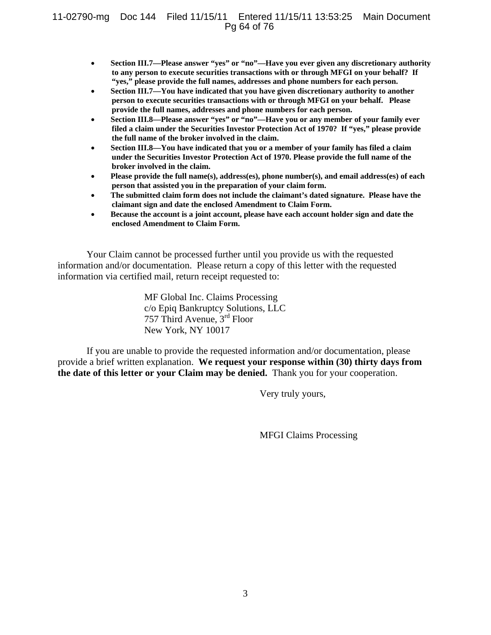## 11-02790-mg Doc 144 Filed 11/15/11 Entered 11/15/11 13:53:25 Main Document Pg 64 of 76

- **Section III.7—Please answer "yes" or "no"—Have you ever given any discretionary authority to any person to execute securities transactions with or through MFGI on your behalf? If "yes," please provide the full names, addresses and phone numbers for each person.**
- **Section III.7—You have indicated that you have given discretionary authority to another person to execute securities transactions with or through MFGI on your behalf. Please provide the full names, addresses and phone numbers for each person.**
- **Section III.8—Please answer "yes" or "no"—Have you or any member of your family ever filed a claim under the Securities Investor Protection Act of 1970? If "yes," please provide the full name of the broker involved in the claim.**
- **Section III.8—You have indicated that you or a member of your family has filed a claim under the Securities Investor Protection Act of 1970. Please provide the full name of the broker involved in the claim.**
- **Please provide the full name(s), address(es), phone number(s), and email address(es) of each person that assisted you in the preparation of your claim form.**
- **The submitted claim form does not include the claimant's dated signature. Please have the claimant sign and date the enclosed Amendment to Claim Form.**
- **Because the account is a joint account, please have each account holder sign and date the enclosed Amendment to Claim Form.**

Your Claim cannot be processed further until you provide us with the requested information and/or documentation. Please return a copy of this letter with the requested information via certified mail, return receipt requested to:

> MF Global Inc. Claims Processing c/o Epiq Bankruptcy Solutions, LLC 757 Third Avenue, 3rd Floor New York, NY 10017

If you are unable to provide the requested information and/or documentation, please provide a brief written explanation. **We request your response within (30) thirty days from the date of this letter or your Claim may be denied.** Thank you for your cooperation.

Very truly yours,

MFGI Claims Processing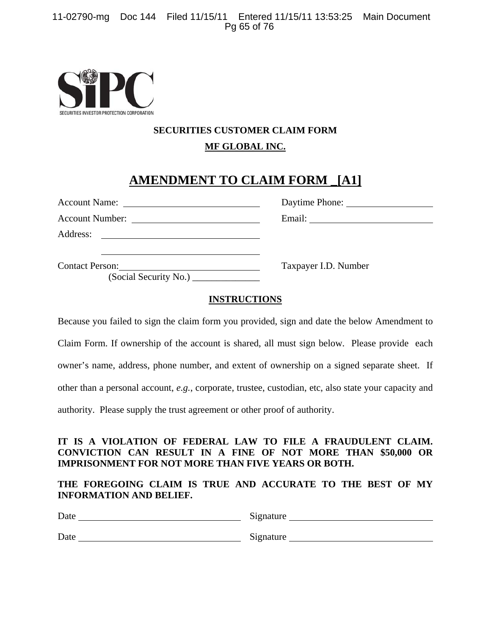

## **SECURITIES CUSTOMER CLAIM FORM MF GLOBAL INC.**

# **AMENDMENT TO CLAIM FORM \_[A1]**

|                                                                                 | Daytime Phone:       |
|---------------------------------------------------------------------------------|----------------------|
|                                                                                 |                      |
| Address:<br><u> 1980 - Andrea Station Barbara, amerikan personal (h. 1980).</u> |                      |
| Contact Person: 2008<br>(Social Security No.)                                   | Taxpayer I.D. Number |

## **INSTRUCTIONS**

Because you failed to sign the claim form you provided, sign and date the below Amendment to Claim Form. If ownership of the account is shared, all must sign below. Please provide each owner's name, address, phone number, and extent of ownership on a signed separate sheet. If other than a personal account, *e.g.*, corporate, trustee, custodian, etc, also state your capacity and authority. Please supply the trust agreement or other proof of authority.

## **IT IS A VIOLATION OF FEDERAL LAW TO FILE A FRAUDULENT CLAIM. CONVICTION CAN RESULT IN A FINE OF NOT MORE THAN \$50,000 OR IMPRISONMENT FOR NOT MORE THAN FIVE YEARS OR BOTH.**

## **THE FOREGOING CLAIM IS TRUE AND ACCURATE TO THE BEST OF MY INFORMATION AND BELIEF.**

| Date | Signature |
|------|-----------|
| Date | Signature |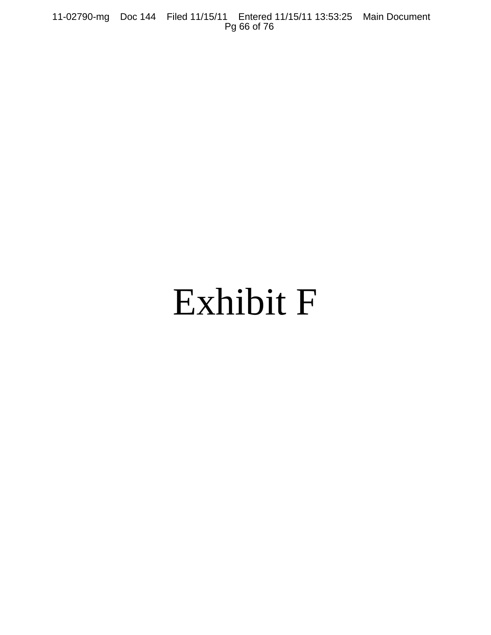11-02790-mg Doc 144 Filed 11/15/11 Entered 11/15/11 13:53:25 Main Document Pg 66 of 76

# Exhibit F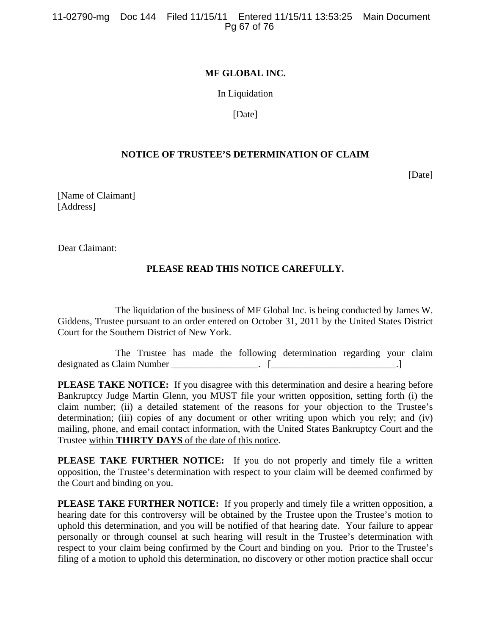## **MF GLOBAL INC.**

In Liquidation

[Date]

## **NOTICE OF TRUSTEE'S DETERMINATION OF CLAIM**

[Date]

[Name of Claimant] [Address]

Dear Claimant:

## **PLEASE READ THIS NOTICE CAREFULLY.**

The liquidation of the business of MF Global Inc. is being conducted by James W. Giddens, Trustee pursuant to an order entered on October 31, 2011 by the United States District Court for the Southern District of New York.

The Trustee has made the following determination regarding your claim designated as Claim Number \_\_\_\_\_\_\_\_\_\_\_\_\_\_\_\_\_\_. [\_\_\_\_\_\_\_\_\_\_\_\_\_\_\_\_\_\_\_\_\_\_\_\_\_\_.]

**PLEASE TAKE NOTICE:** If you disagree with this determination and desire a hearing before Bankruptcy Judge Martin Glenn, you MUST file your written opposition, setting forth (i) the claim number; (ii) a detailed statement of the reasons for your objection to the Trustee's determination; (iii) copies of any document or other writing upon which you rely; and (iv) mailing, phone, and email contact information, with the United States Bankruptcy Court and the Trustee within **THIRTY DAYS** of the date of this notice.

**PLEASE TAKE FURTHER NOTICE:** If you do not properly and timely file a written opposition, the Trustee's determination with respect to your claim will be deemed confirmed by the Court and binding on you.

**PLEASE TAKE FURTHER NOTICE:** If you properly and timely file a written opposition, a hearing date for this controversy will be obtained by the Trustee upon the Trustee's motion to uphold this determination, and you will be notified of that hearing date. Your failure to appear personally or through counsel at such hearing will result in the Trustee's determination with respect to your claim being confirmed by the Court and binding on you. Prior to the Trustee's filing of a motion to uphold this determination, no discovery or other motion practice shall occur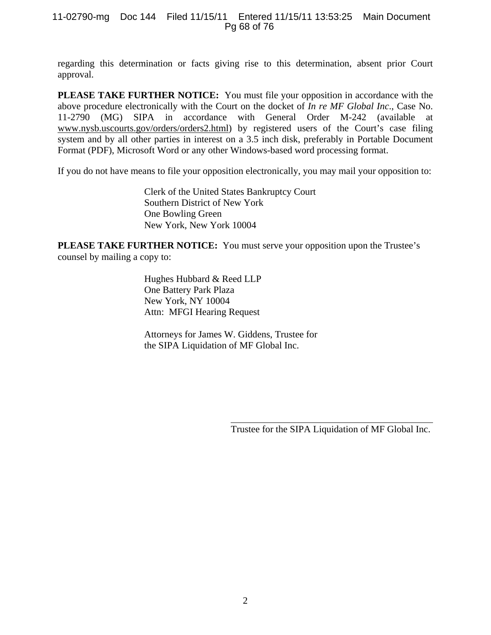## 11-02790-mg Doc 144 Filed 11/15/11 Entered 11/15/11 13:53:25 Main Document Pg 68 of 76

regarding this determination or facts giving rise to this determination, absent prior Court approval.

**PLEASE TAKE FURTHER NOTICE:** You must file your opposition in accordance with the above procedure electronically with the Court on the docket of *In re MF Global Inc*., Case No. 11-2790 (MG) SIPA in accordance with General Order M-242 (available at www.nysb.uscourts.gov/orders/orders2.html) by registered users of the Court's case filing system and by all other parties in interest on a 3.5 inch disk, preferably in Portable Document Format (PDF), Microsoft Word or any other Windows-based word processing format.

If you do not have means to file your opposition electronically, you may mail your opposition to:

Clerk of the United States Bankruptcy Court Southern District of New York One Bowling Green New York, New York 10004

**PLEASE TAKE FURTHER NOTICE:** You must serve your opposition upon the Trustee's counsel by mailing a copy to:

> Hughes Hubbard & Reed LLP One Battery Park Plaza New York, NY 10004 Attn: MFGI Hearing Request

Attorneys for James W. Giddens, Trustee for the SIPA Liquidation of MF Global Inc.

Trustee for the SIPA Liquidation of MF Global Inc.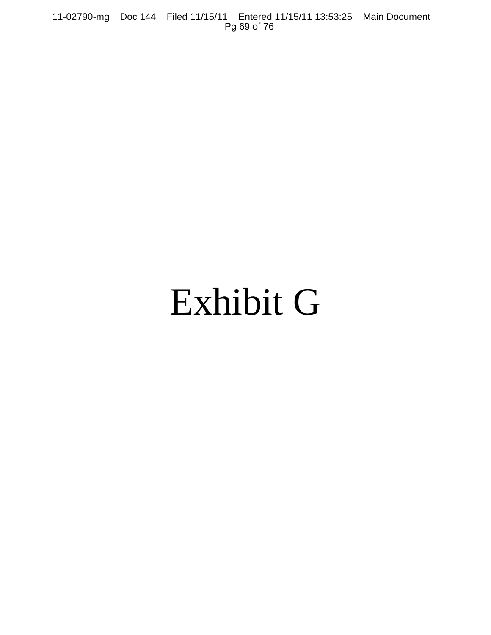11-02790-mg Doc 144 Filed 11/15/11 Entered 11/15/11 13:53:25 Main Document Pg 69 of 76

# Exhibit G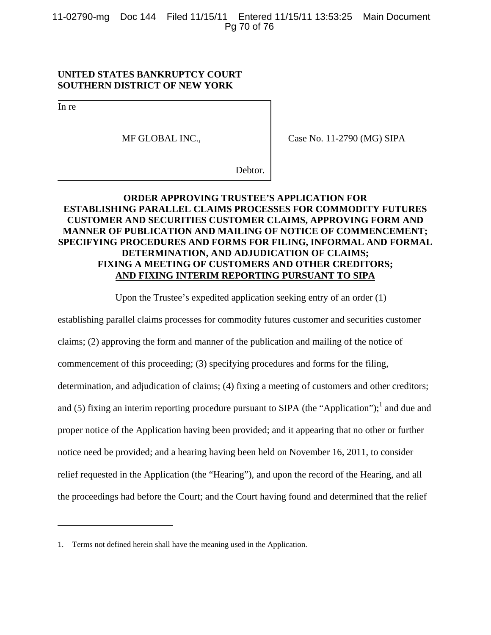11-02790-mg Doc 144 Filed 11/15/11 Entered 11/15/11 13:53:25 Main Document Pg 70 of 76

## **UNITED STATES BANKRUPTCY COURT SOUTHERN DISTRICT OF NEW YORK**

In re

1

MF GLOBAL INC.,

Case No. 11-2790 (MG) SIPA

Debtor.

## **ORDER APPROVING TRUSTEE'S APPLICATION FOR ESTABLISHING PARALLEL CLAIMS PROCESSES FOR COMMODITY FUTURES CUSTOMER AND SECURITIES CUSTOMER CLAIMS, APPROVING FORM AND MANNER OF PUBLICATION AND MAILING OF NOTICE OF COMMENCEMENT; SPECIFYING PROCEDURES AND FORMS FOR FILING, INFORMAL AND FORMAL DETERMINATION, AND ADJUDICATION OF CLAIMS; FIXING A MEETING OF CUSTOMERS AND OTHER CREDITORS; AND FIXING INTERIM REPORTING PURSUANT TO SIPA**

Upon the Trustee's expedited application seeking entry of an order (1)

establishing parallel claims processes for commodity futures customer and securities customer claims; (2) approving the form and manner of the publication and mailing of the notice of commencement of this proceeding; (3) specifying procedures and forms for the filing, determination, and adjudication of claims; (4) fixing a meeting of customers and other creditors; and (5) fixing an interim reporting procedure pursuant to SIPA (the "Application");<sup>1</sup> and due and proper notice of the Application having been provided; and it appearing that no other or further notice need be provided; and a hearing having been held on November 16, 2011, to consider relief requested in the Application (the "Hearing"), and upon the record of the Hearing, and all the proceedings had before the Court; and the Court having found and determined that the relief

<sup>1.</sup> Terms not defined herein shall have the meaning used in the Application.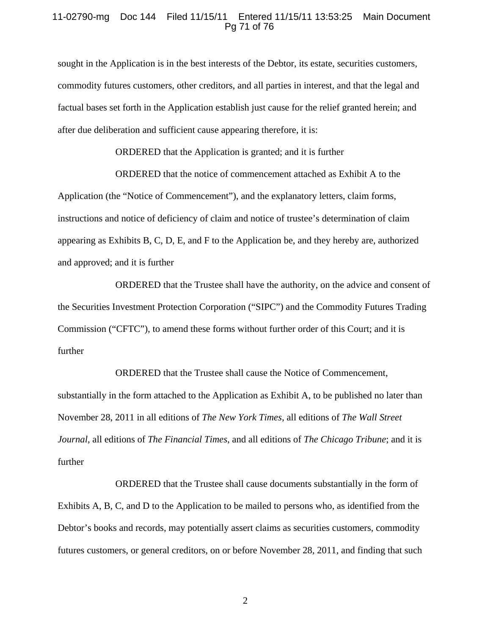### 11-02790-mg Doc 144 Filed 11/15/11 Entered 11/15/11 13:53:25 Main Document Pg 71 of 76

sought in the Application is in the best interests of the Debtor, its estate, securities customers, commodity futures customers, other creditors, and all parties in interest, and that the legal and factual bases set forth in the Application establish just cause for the relief granted herein; and after due deliberation and sufficient cause appearing therefore, it is:

ORDERED that the Application is granted; and it is further

ORDERED that the notice of commencement attached as Exhibit A to the Application (the "Notice of Commencement"), and the explanatory letters, claim forms, instructions and notice of deficiency of claim and notice of trustee's determination of claim appearing as Exhibits B, C, D, E, and F to the Application be, and they hereby are, authorized and approved; and it is further

ORDERED that the Trustee shall have the authority, on the advice and consent of the Securities Investment Protection Corporation ("SIPC") and the Commodity Futures Trading Commission ("CFTC"), to amend these forms without further order of this Court; and it is further

ORDERED that the Trustee shall cause the Notice of Commencement, substantially in the form attached to the Application as Exhibit A, to be published no later than November 28, 2011 in all editions of *The New York Times*, all editions of *The Wall Street Journal*, all editions of *The Financial Times*, and all editions of *The Chicago Tribune*; and it is further

ORDERED that the Trustee shall cause documents substantially in the form of Exhibits A, B, C, and D to the Application to be mailed to persons who, as identified from the Debtor's books and records, may potentially assert claims as securities customers, commodity futures customers, or general creditors, on or before November 28, 2011, and finding that such

2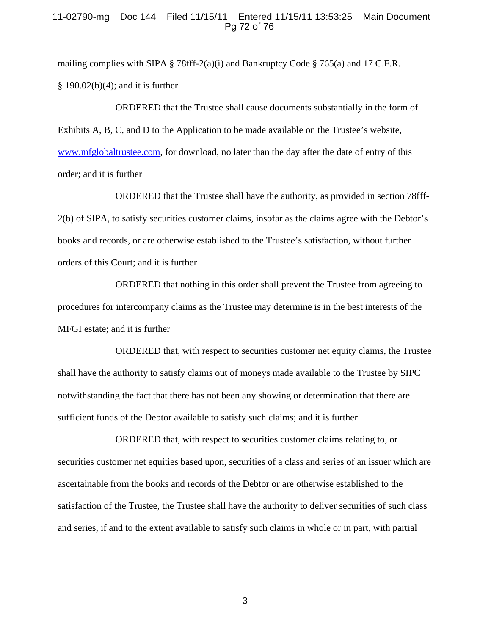## 11-02790-mg Doc 144 Filed 11/15/11 Entered 11/15/11 13:53:25 Main Document Pg 72 of 76

mailing complies with SIPA § 78fff-2(a)(i) and Bankruptcy Code § 765(a) and 17 C.F.R. § 190.02(b)(4); and it is further

ORDERED that the Trustee shall cause documents substantially in the form of Exhibits A, B, C, and D to the Application to be made available on the Trustee's website, www.mfglobaltrustee.com, for download, no later than the day after the date of entry of this order; and it is further

ORDERED that the Trustee shall have the authority, as provided in section 78fff-2(b) of SIPA, to satisfy securities customer claims, insofar as the claims agree with the Debtor's books and records, or are otherwise established to the Trustee's satisfaction, without further orders of this Court; and it is further

ORDERED that nothing in this order shall prevent the Trustee from agreeing to procedures for intercompany claims as the Trustee may determine is in the best interests of the MFGI estate; and it is further

ORDERED that, with respect to securities customer net equity claims, the Trustee shall have the authority to satisfy claims out of moneys made available to the Trustee by SIPC notwithstanding the fact that there has not been any showing or determination that there are sufficient funds of the Debtor available to satisfy such claims; and it is further

ORDERED that, with respect to securities customer claims relating to, or securities customer net equities based upon, securities of a class and series of an issuer which are ascertainable from the books and records of the Debtor or are otherwise established to the satisfaction of the Trustee, the Trustee shall have the authority to deliver securities of such class and series, if and to the extent available to satisfy such claims in whole or in part, with partial

3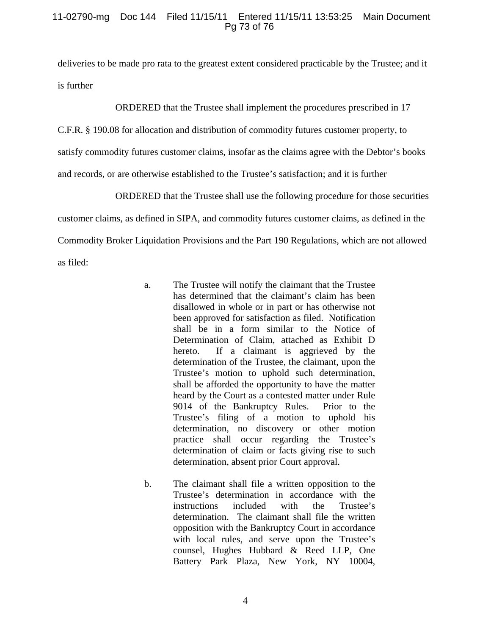## 11-02790-mg Doc 144 Filed 11/15/11 Entered 11/15/11 13:53:25 Main Document Pg 73 of 76

deliveries to be made pro rata to the greatest extent considered practicable by the Trustee; and it is further

ORDERED that the Trustee shall implement the procedures prescribed in 17

C.F.R. § 190.08 for allocation and distribution of commodity futures customer property, to satisfy commodity futures customer claims, insofar as the claims agree with the Debtor's books and records, or are otherwise established to the Trustee's satisfaction; and it is further

ORDERED that the Trustee shall use the following procedure for those securities customer claims, as defined in SIPA, and commodity futures customer claims, as defined in the Commodity Broker Liquidation Provisions and the Part 190 Regulations, which are not allowed as filed:

- a. The Trustee will notify the claimant that the Trustee has determined that the claimant's claim has been disallowed in whole or in part or has otherwise not been approved for satisfaction as filed. Notification shall be in a form similar to the Notice of Determination of Claim, attached as Exhibit D hereto. If a claimant is aggrieved by the determination of the Trustee, the claimant, upon the Trustee's motion to uphold such determination, shall be afforded the opportunity to have the matter heard by the Court as a contested matter under Rule 9014 of the Bankruptcy Rules. Prior to the Trustee's filing of a motion to uphold his determination, no discovery or other motion practice shall occur regarding the Trustee's determination of claim or facts giving rise to such determination, absent prior Court approval.
- b. The claimant shall file a written opposition to the Trustee's determination in accordance with the instructions included with the Trustee's determination. The claimant shall file the written opposition with the Bankruptcy Court in accordance with local rules, and serve upon the Trustee's counsel, Hughes Hubbard & Reed LLP, One Battery Park Plaza, New York, NY 10004,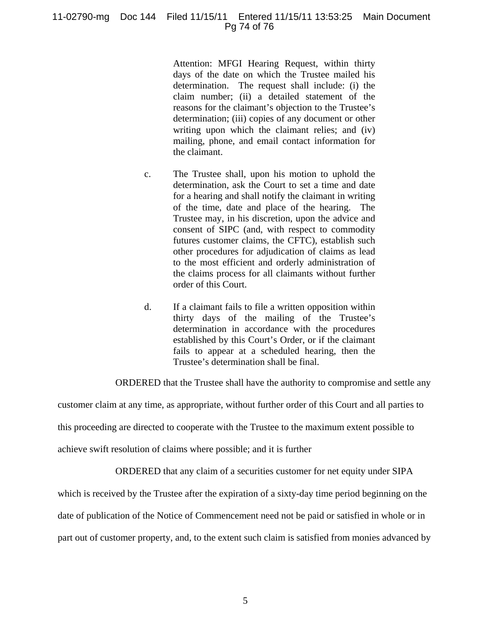## 11-02790-mg Doc 144 Filed 11/15/11 Entered 11/15/11 13:53:25 Main Document Pg 74 of 76

Attention: MFGI Hearing Request, within thirty days of the date on which the Trustee mailed his determination. The request shall include: (i) the claim number; (ii) a detailed statement of the reasons for the claimant's objection to the Trustee's determination; (iii) copies of any document or other writing upon which the claimant relies; and (iv) mailing, phone, and email contact information for the claimant.

- c. The Trustee shall, upon his motion to uphold the determination, ask the Court to set a time and date for a hearing and shall notify the claimant in writing of the time, date and place of the hearing. The Trustee may, in his discretion, upon the advice and consent of SIPC (and, with respect to commodity futures customer claims, the CFTC), establish such other procedures for adjudication of claims as lead to the most efficient and orderly administration of the claims process for all claimants without further order of this Court.
- d. If a claimant fails to file a written opposition within thirty days of the mailing of the Trustee's determination in accordance with the procedures established by this Court's Order, or if the claimant fails to appear at a scheduled hearing, then the Trustee's determination shall be final.

ORDERED that the Trustee shall have the authority to compromise and settle any

customer claim at any time, as appropriate, without further order of this Court and all parties to this proceeding are directed to cooperate with the Trustee to the maximum extent possible to achieve swift resolution of claims where possible; and it is further

ORDERED that any claim of a securities customer for net equity under SIPA

which is received by the Trustee after the expiration of a sixty-day time period beginning on the

date of publication of the Notice of Commencement need not be paid or satisfied in whole or in

part out of customer property, and, to the extent such claim is satisfied from monies advanced by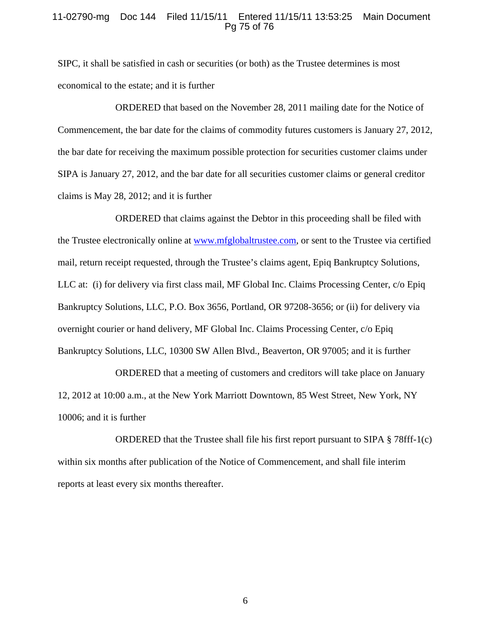## 11-02790-mg Doc 144 Filed 11/15/11 Entered 11/15/11 13:53:25 Main Document Pg 75 of 76

SIPC, it shall be satisfied in cash or securities (or both) as the Trustee determines is most economical to the estate; and it is further

ORDERED that based on the November 28, 2011 mailing date for the Notice of Commencement, the bar date for the claims of commodity futures customers is January 27, 2012, the bar date for receiving the maximum possible protection for securities customer claims under SIPA is January 27, 2012, and the bar date for all securities customer claims or general creditor claims is May 28, 2012; and it is further

ORDERED that claims against the Debtor in this proceeding shall be filed with the Trustee electronically online at www.mfglobaltrustee.com, or sent to the Trustee via certified mail, return receipt requested, through the Trustee's claims agent, Epiq Bankruptcy Solutions, LLC at: (i) for delivery via first class mail, MF Global Inc. Claims Processing Center, c/o Epiq Bankruptcy Solutions, LLC, P.O. Box 3656, Portland, OR 97208-3656; or (ii) for delivery via overnight courier or hand delivery, MF Global Inc. Claims Processing Center, c/o Epiq Bankruptcy Solutions, LLC, 10300 SW Allen Blvd., Beaverton, OR 97005; and it is further

ORDERED that a meeting of customers and creditors will take place on January 12, 2012 at 10:00 a.m., at the New York Marriott Downtown, 85 West Street, New York, NY 10006; and it is further

ORDERED that the Trustee shall file his first report pursuant to SIPA § 78fff-1(c) within six months after publication of the Notice of Commencement, and shall file interim reports at least every six months thereafter.

6